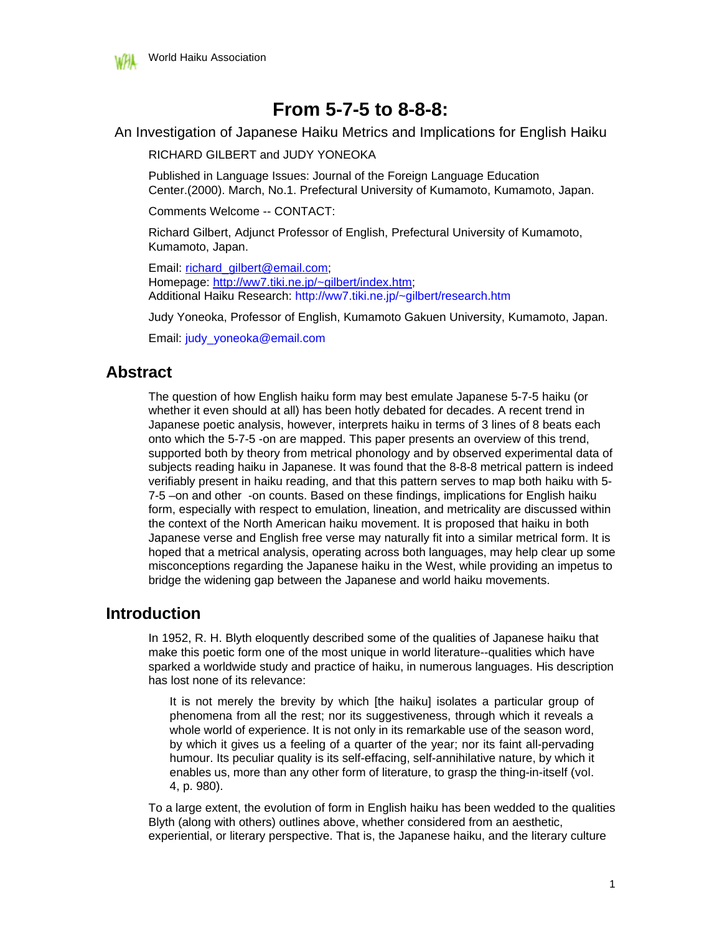

# **From 5-7-5 to 8-8-8:**

An Investigation of Japanese Haiku Metrics and Implications for English Haiku

RICHARD GILBERT and JUDY YONEOKA

Published in Language Issues: Journal of the Foreign Language Education Center.(2000). March, No.1. Prefectural University of Kumamoto, Kumamoto, Japan.

Comments Welcome -- CONTACT:

Richard Gilbert, Adjunct Professor of English, Prefectural University of Kumamoto, Kumamoto, Japan.

Email: richard\_gilbert@email.com; Homepage: http://ww7.tiki.ne.jp/~gilbert/index.htm; Additional Haiku Research: http://ww7.tiki.ne.jp/~gilbert/research.htm

Judy Yoneoka, Professor of English, Kumamoto Gakuen University, Kumamoto, Japan.

Email: judy\_yoneoka@email.com

# **Abstract**

The question of how English haiku form may best emulate Japanese 5-7-5 haiku (or whether it even should at all) has been hotly debated for decades. A recent trend in Japanese poetic analysis, however, interprets haiku in terms of 3 lines of 8 beats each onto which the 5-7-5 -on are mapped. This paper presents an overview of this trend, supported both by theory from metrical phonology and by observed experimental data of subjects reading haiku in Japanese. It was found that the 8-8-8 metrical pattern is indeed verifiably present in haiku reading, and that this pattern serves to map both haiku with 5- 7-5 –on and other -on counts. Based on these findings, implications for English haiku form, especially with respect to emulation, lineation, and metricality are discussed within the context of the North American haiku movement. It is proposed that haiku in both Japanese verse and English free verse may naturally fit into a similar metrical form. It is hoped that a metrical analysis, operating across both languages, may help clear up some misconceptions regarding the Japanese haiku in the West, while providing an impetus to bridge the widening gap between the Japanese and world haiku movements.

# **Introduction**

In 1952, R. H. Blyth eloquently described some of the qualities of Japanese haiku that make this poetic form one of the most unique in world literature--qualities which have sparked a worldwide study and practice of haiku, in numerous languages. His description has lost none of its relevance:

It is not merely the brevity by which [the haiku] isolates a particular group of phenomena from all the rest; nor its suggestiveness, through which it reveals a whole world of experience. It is not only in its remarkable use of the season word, by which it gives us a feeling of a quarter of the year; nor its faint all-pervading humour. Its peculiar quality is its self-effacing, self-annihilative nature, by which it enables us, more than any other form of literature, to grasp the thing-in-itself (vol. 4, p. 980).

To a large extent, the evolution of form in English haiku has been wedded to the qualities Blyth (along with others) outlines above, whether considered from an aesthetic, experiential, or literary perspective. That is, the Japanese haiku, and the literary culture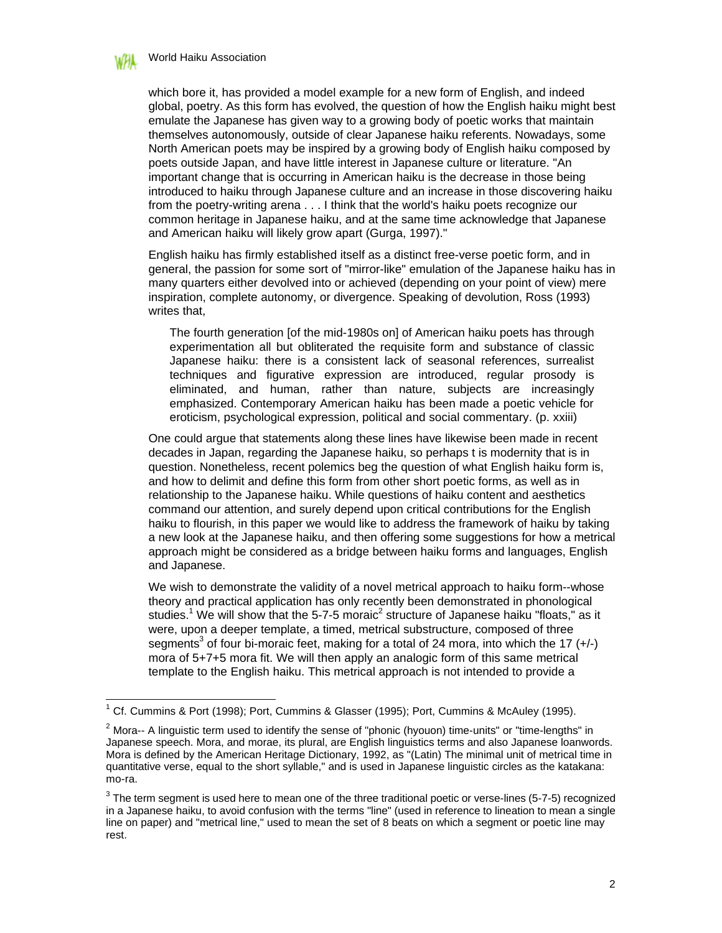

which bore it, has provided a model example for a new form of English, and indeed global, poetry. As this form has evolved, the question of how the English haiku might best emulate the Japanese has given way to a growing body of poetic works that maintain themselves autonomously, outside of clear Japanese haiku referents. Nowadays, some North American poets may be inspired by a growing body of English haiku composed by poets outside Japan, and have little interest in Japanese culture or literature. "An important change that is occurring in American haiku is the decrease in those being introduced to haiku through Japanese culture and an increase in those discovering haiku from the poetry-writing arena . . . I think that the world's haiku poets recognize our common heritage in Japanese haiku, and at the same time acknowledge that Japanese and American haiku will likely grow apart (Gurga, 1997)."

English haiku has firmly established itself as a distinct free-verse poetic form, and in general, the passion for some sort of "mirror-like" emulation of the Japanese haiku has in many quarters either devolved into or achieved (depending on your point of view) mere inspiration, complete autonomy, or divergence. Speaking of devolution, Ross (1993) writes that,

The fourth generation [of the mid-1980s on] of American haiku poets has through experimentation all but obliterated the requisite form and substance of classic Japanese haiku: there is a consistent lack of seasonal references, surrealist techniques and figurative expression are introduced, regular prosody is eliminated, and human, rather than nature, subjects are increasingly emphasized. Contemporary American haiku has been made a poetic vehicle for eroticism, psychological expression, political and social commentary. (p. xxiii)

One could argue that statements along these lines have likewise been made in recent decades in Japan, regarding the Japanese haiku, so perhaps t is modernity that is in question. Nonetheless, recent polemics beg the question of what English haiku form is, and how to delimit and define this form from other short poetic forms, as well as in relationship to the Japanese haiku. While questions of haiku content and aesthetics command our attention, and surely depend upon critical contributions for the English haiku to flourish, in this paper we would like to address the framework of haiku by taking a new look at the Japanese haiku, and then offering some suggestions for how a metrical approach might be considered as a bridge between haiku forms and languages, English and Japanese.

We wish to demonstrate the validity of a novel metrical approach to haiku form--whose theory and practical application has only recently been demonstrated in phonological studies.<sup>1</sup> We will show that the 5-7-5 moraic<sup>2</sup> structure of Japanese haiku "floats," as it were, upon a deeper template, a timed, metrical substructure, composed of three segments<sup>3</sup> of four bi-moraic feet, making for a total of 24 mora, into which the 17  $(+/-)$ mora of 5+7+5 mora fit. We will then apply an analogic form of this same metrical template to the English haiku. This metrical approach is not intended to provide a

 1 Cf. Cummins & Port (1998); Port, Cummins & Glasser (1995); Port, Cummins & McAuley (1995).

 $2$  Mora-- A linguistic term used to identify the sense of "phonic (hyouon) time-units" or "time-lengths" in Japanese speech. Mora, and morae, its plural, are English linguistics terms and also Japanese loanwords. Mora is defined by the American Heritage Dictionary, 1992, as "(Latin) The minimal unit of metrical time in quantitative verse, equal to the short syllable," and is used in Japanese linguistic circles as the katakana: mo-ra.

 $3$  The term segment is used here to mean one of the three traditional poetic or verse-lines (5-7-5) recognized in a Japanese haiku, to avoid confusion with the terms "line" (used in reference to lineation to mean a single line on paper) and "metrical line," used to mean the set of 8 beats on which a segment or poetic line may rest.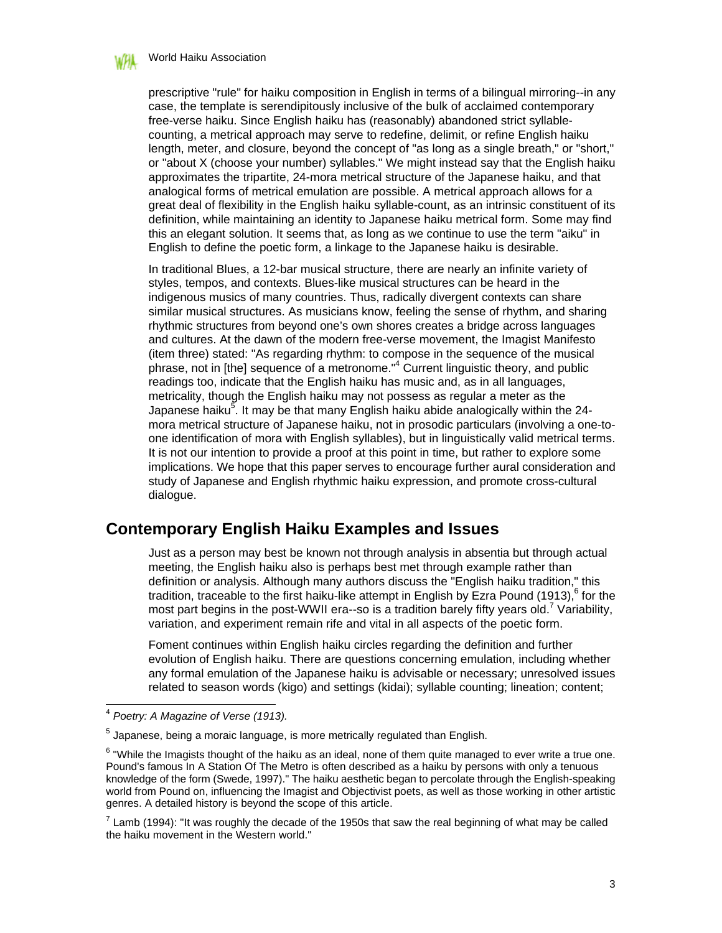

prescriptive "rule" for haiku composition in English in terms of a bilingual mirroring--in any case, the template is serendipitously inclusive of the bulk of acclaimed contemporary free-verse haiku. Since English haiku has (reasonably) abandoned strict syllablecounting, a metrical approach may serve to redefine, delimit, or refine English haiku length, meter, and closure, beyond the concept of "as long as a single breath," or "short," or "about X (choose your number) syllables." We might instead say that the English haiku approximates the tripartite, 24-mora metrical structure of the Japanese haiku, and that analogical forms of metrical emulation are possible. A metrical approach allows for a great deal of flexibility in the English haiku syllable-count, as an intrinsic constituent of its definition, while maintaining an identity to Japanese haiku metrical form. Some may find this an elegant solution. It seems that, as long as we continue to use the term "aiku" in English to define the poetic form, a linkage to the Japanese haiku is desirable.

In traditional Blues, a 12-bar musical structure, there are nearly an infinite variety of styles, tempos, and contexts. Blues-like musical structures can be heard in the indigenous musics of many countries. Thus, radically divergent contexts can share similar musical structures. As musicians know, feeling the sense of rhythm, and sharing rhythmic structures from beyond one's own shores creates a bridge across languages and cultures. At the dawn of the modern free-verse movement, the Imagist Manifesto (item three) stated: "As regarding rhythm: to compose in the sequence of the musical phrase, not in [the] sequence of a metronome."<sup>4</sup> Current linguistic theory, and public readings too, indicate that the English haiku has music and, as in all languages, metricality, though the English haiku may not possess as regular a meter as the Japanese haiku<sup>5</sup>. It may be that many English haiku abide analogically within the 24mora metrical structure of Japanese haiku, not in prosodic particulars (involving a one-toone identification of mora with English syllables), but in linguistically valid metrical terms. It is not our intention to provide a proof at this point in time, but rather to explore some implications. We hope that this paper serves to encourage further aural consideration and study of Japanese and English rhythmic haiku expression, and promote cross-cultural dialogue.

# **Contemporary English Haiku Examples and Issues**

Just as a person may best be known not through analysis in absentia but through actual meeting, the English haiku also is perhaps best met through example rather than definition or analysis. Although many authors discuss the "English haiku tradition," this tradition, traceable to the first haiku-like attempt in English by Ezra Pound (1913),<sup>6</sup> for the most part begins in the post-WWII era--so is a tradition barely fifty years old.<sup>7</sup> Variability, variation, and experiment remain rife and vital in all aspects of the poetic form.

Foment continues within English haiku circles regarding the definition and further evolution of English haiku. There are questions concerning emulation, including whether any formal emulation of the Japanese haiku is advisable or necessary; unresolved issues related to season words (kigo) and settings (kidai); syllable counting; lineation; content;

<sup>4</sup> *Poetry: A Magazine of Verse (1913).*

 $^5$  Japanese, being a moraic language, is more metrically regulated than English.

 $6$  "While the Imagists thought of the haiku as an ideal, none of them quite managed to ever write a true one. Pound's famous In A Station Of The Metro is often described as a haiku by persons with only a tenuous knowledge of the form (Swede, 1997)." The haiku aesthetic began to percolate through the English-speaking world from Pound on, influencing the Imagist and Objectivist poets, as well as those working in other artistic genres. A detailed history is beyond the scope of this article.

 $<sup>7</sup>$  Lamb (1994): "It was roughly the decade of the 1950s that saw the real beginning of what may be called</sup> the haiku movement in the Western world."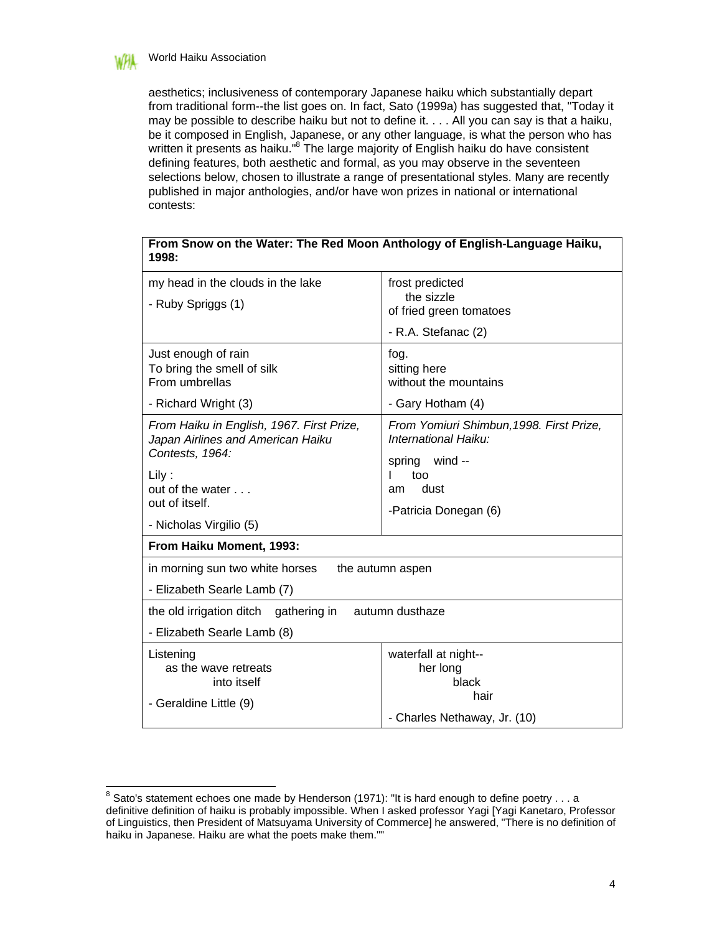

aesthetics; inclusiveness of contemporary Japanese haiku which substantially depart from traditional form--the list goes on. In fact, Sato (1999a) has suggested that, "Today it may be possible to describe haiku but not to define it. . . . All you can say is that a haiku, be it composed in English, Japanese, or any other language, is what the person who has written it presents as haiku."<sup>8</sup> The large majority of English haiku do have consistent defining features, both aesthetic and formal, as you may observe in the seventeen selections below, chosen to illustrate a range of presentational styles. Many are recently published in major anthologies, and/or have won prizes in national or international contests:

**From Snow on the Water: The Red Moon Anthology of English-Language Haiku,** 

| 1998:                                                                                             |                                                                  |  |  |  |  |  |  |  |
|---------------------------------------------------------------------------------------------------|------------------------------------------------------------------|--|--|--|--|--|--|--|
| my head in the clouds in the lake<br>- Ruby Spriggs (1)                                           | frost predicted<br>the sizzle                                    |  |  |  |  |  |  |  |
|                                                                                                   | of fried green tomatoes                                          |  |  |  |  |  |  |  |
|                                                                                                   | - R.A. Stefanac (2)                                              |  |  |  |  |  |  |  |
| Just enough of rain<br>To bring the smell of silk<br>From umbrellas                               | fog.<br>sitting here                                             |  |  |  |  |  |  |  |
|                                                                                                   | without the mountains                                            |  |  |  |  |  |  |  |
| - Richard Wright (3)                                                                              | - Gary Hotham (4)                                                |  |  |  |  |  |  |  |
| From Haiku in English, 1967. First Prize,<br>Japan Airlines and American Haiku<br>Contests, 1964: | From Yomiuri Shimbun, 1998. First Prize,<br>International Haiku: |  |  |  |  |  |  |  |
| $Lily$ :                                                                                          | spring wind --<br>too                                            |  |  |  |  |  |  |  |
| out of the water $\ldots$                                                                         | dust<br>am                                                       |  |  |  |  |  |  |  |
| out of itself.                                                                                    | -Patricia Donegan (6)                                            |  |  |  |  |  |  |  |
| - Nicholas Virgilio (5)                                                                           |                                                                  |  |  |  |  |  |  |  |
| From Haiku Moment, 1993:                                                                          |                                                                  |  |  |  |  |  |  |  |
| in morning sun two white horses                                                                   | the autumn aspen                                                 |  |  |  |  |  |  |  |
| - Elizabeth Searle Lamb (7)                                                                       |                                                                  |  |  |  |  |  |  |  |
| the old irrigation ditch gathering in                                                             | autumn dusthaze                                                  |  |  |  |  |  |  |  |
| - Elizabeth Searle Lamb (8)                                                                       |                                                                  |  |  |  |  |  |  |  |
| Listening                                                                                         | waterfall at night--                                             |  |  |  |  |  |  |  |
| as the wave retreats<br>into itself                                                               | her long<br>black                                                |  |  |  |  |  |  |  |
|                                                                                                   | hair                                                             |  |  |  |  |  |  |  |
| - Geraldine Little (9)                                                                            |                                                                  |  |  |  |  |  |  |  |
|                                                                                                   | - Charles Nethaway, Jr. (10)                                     |  |  |  |  |  |  |  |

 8 Sato's statement echoes one made by Henderson (1971): "It is hard enough to define poetry . . . a definitive definition of haiku is probably impossible. When I asked professor Yagi [Yagi Kanetaro, Professor of Linguistics, then President of Matsuyama University of Commerce] he answered, "There is no definition of haiku in Japanese. Haiku are what the poets make them.""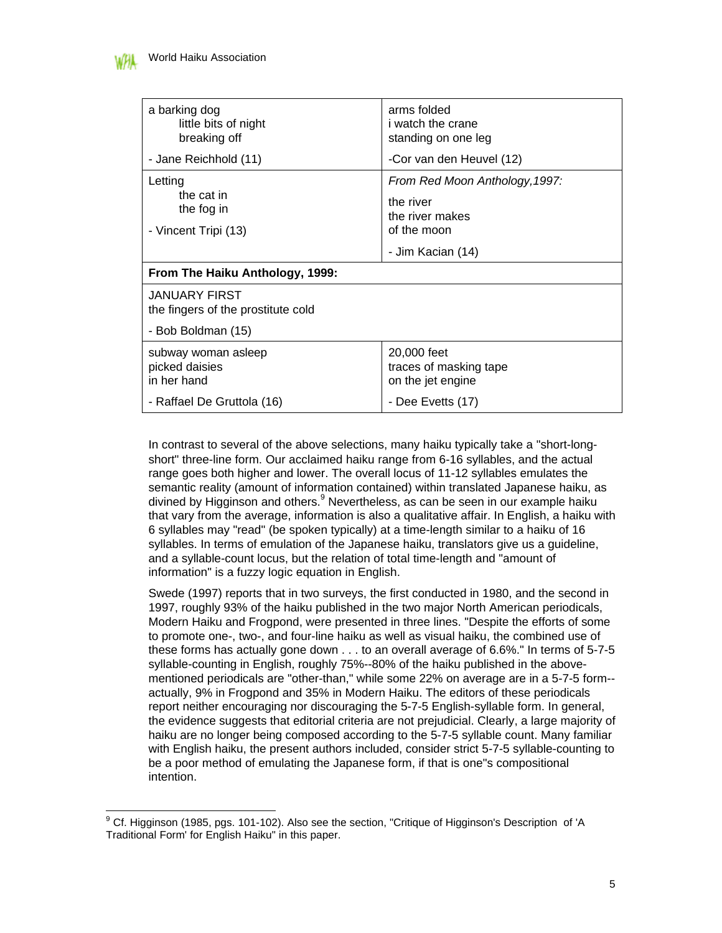| a barking dog<br>little bits of night<br>breaking off                            | arms folded<br><i>i</i> watch the crane<br>standing on one leg                                     |  |  |  |  |  |  |  |
|----------------------------------------------------------------------------------|----------------------------------------------------------------------------------------------------|--|--|--|--|--|--|--|
| - Jane Reichhold (11)                                                            | -Cor van den Heuvel (12)                                                                           |  |  |  |  |  |  |  |
| Letting<br>the cat in<br>the fog in<br>- Vincent Tripi (13)                      | From Red Moon Anthology, 1997:<br>the river<br>the river makes<br>of the moon<br>- Jim Kacian (14) |  |  |  |  |  |  |  |
| From The Haiku Anthology, 1999:                                                  |                                                                                                    |  |  |  |  |  |  |  |
| <b>JANUARY FIRST</b><br>the fingers of the prostitute cold<br>- Bob Boldman (15) |                                                                                                    |  |  |  |  |  |  |  |
| subway woman asleep<br>picked daisies<br>in her hand                             | 20,000 feet<br>traces of masking tape<br>on the jet engine                                         |  |  |  |  |  |  |  |
| - Raffael De Gruttola (16)                                                       | - Dee Evetts (17)                                                                                  |  |  |  |  |  |  |  |

In contrast to several of the above selections, many haiku typically take a "short-longshort" three-line form. Our acclaimed haiku range from 6-16 syllables, and the actual range goes both higher and lower. The overall locus of 11-12 syllables emulates the semantic reality (amount of information contained) within translated Japanese haiku, as divined by Higginson and others.<sup>9</sup> Nevertheless, as can be seen in our example haiku that vary from the average, information is also a qualitative affair. In English, a haiku with 6 syllables may "read" (be spoken typically) at a time-length similar to a haiku of 16 syllables. In terms of emulation of the Japanese haiku, translators give us a guideline, and a syllable-count locus, but the relation of total time-length and "amount of information" is a fuzzy logic equation in English.

Swede (1997) reports that in two surveys, the first conducted in 1980, and the second in 1997, roughly 93% of the haiku published in the two major North American periodicals, Modern Haiku and Frogpond, were presented in three lines. "Despite the efforts of some to promote one-, two-, and four-line haiku as well as visual haiku, the combined use of these forms has actually gone down . . . to an overall average of 6.6%." In terms of 5-7-5 syllable-counting in English, roughly 75%--80% of the haiku published in the abovementioned periodicals are "other-than," while some 22% on average are in a 5-7-5 form- actually, 9% in Frogpond and 35% in Modern Haiku. The editors of these periodicals report neither encouraging nor discouraging the 5-7-5 English-syllable form. In general, the evidence suggests that editorial criteria are not prejudicial. Clearly, a large majority of haiku are no longer being composed according to the 5-7-5 syllable count. Many familiar with English haiku, the present authors included, consider strict 5-7-5 syllable-counting to be a poor method of emulating the Japanese form, if that is one"s compositional intention.

 9 Cf. Higginson (1985, pgs. 101-102). Also see the section, "Critique of Higginson's Description of 'A Traditional Form' for English Haiku" in this paper.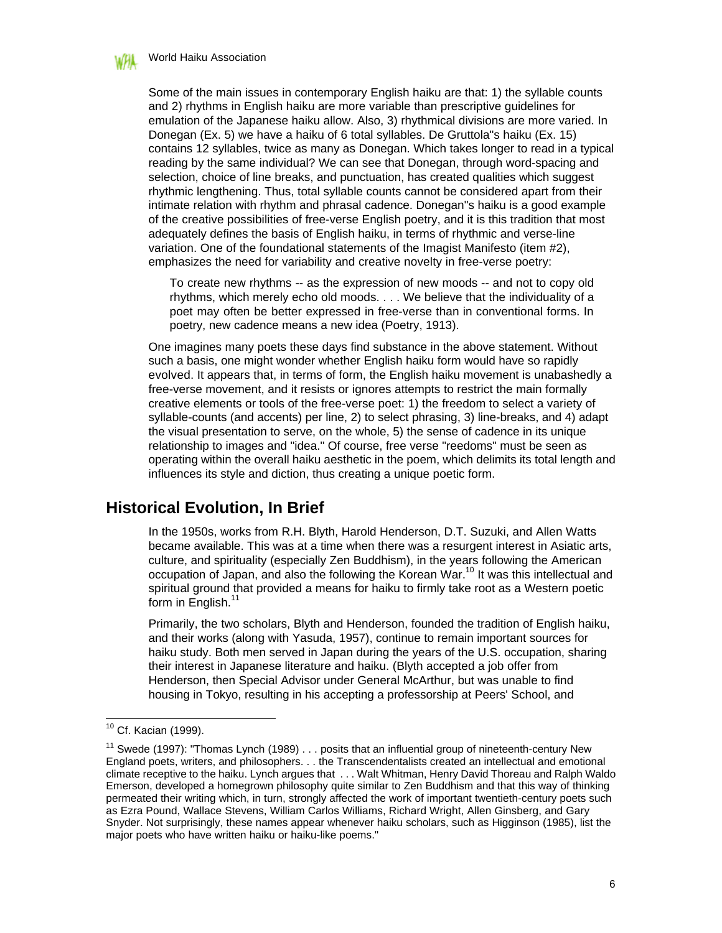

Some of the main issues in contemporary English haiku are that: 1) the syllable counts and 2) rhythms in English haiku are more variable than prescriptive guidelines for emulation of the Japanese haiku allow. Also, 3) rhythmical divisions are more varied. In Donegan (Ex. 5) we have a haiku of 6 total syllables. De Gruttola"s haiku (Ex. 15) contains 12 syllables, twice as many as Donegan. Which takes longer to read in a typical reading by the same individual? We can see that Donegan, through word-spacing and selection, choice of line breaks, and punctuation, has created qualities which suggest rhythmic lengthening. Thus, total syllable counts cannot be considered apart from their intimate relation with rhythm and phrasal cadence. Donegan"s haiku is a good example of the creative possibilities of free-verse English poetry, and it is this tradition that most adequately defines the basis of English haiku, in terms of rhythmic and verse-line variation. One of the foundational statements of the Imagist Manifesto (item #2), emphasizes the need for variability and creative novelty in free-verse poetry:

To create new rhythms -- as the expression of new moods -- and not to copy old rhythms, which merely echo old moods. . . . We believe that the individuality of a poet may often be better expressed in free-verse than in conventional forms. In poetry, new cadence means a new idea (Poetry, 1913).

One imagines many poets these days find substance in the above statement. Without such a basis, one might wonder whether English haiku form would have so rapidly evolved. It appears that, in terms of form, the English haiku movement is unabashedly a free-verse movement, and it resists or ignores attempts to restrict the main formally creative elements or tools of the free-verse poet: 1) the freedom to select a variety of syllable-counts (and accents) per line, 2) to select phrasing, 3) line-breaks, and 4) adapt the visual presentation to serve, on the whole, 5) the sense of cadence in its unique relationship to images and "idea." Of course, free verse "reedoms" must be seen as operating within the overall haiku aesthetic in the poem, which delimits its total length and influences its style and diction, thus creating a unique poetic form.

### **Historical Evolution, In Brief**

In the 1950s, works from R.H. Blyth, Harold Henderson, D.T. Suzuki, and Allen Watts became available. This was at a time when there was a resurgent interest in Asiatic arts, culture, and spirituality (especially Zen Buddhism), in the years following the American occupation of Japan, and also the following the Korean War.<sup>10</sup> It was this intellectual and spiritual ground that provided a means for haiku to firmly take root as a Western poetic form in English.<sup>11</sup>

Primarily, the two scholars, Blyth and Henderson, founded the tradition of English haiku, and their works (along with Yasuda, 1957), continue to remain important sources for haiku study. Both men served in Japan during the years of the U.S. occupation, sharing their interest in Japanese literature and haiku. (Blyth accepted a job offer from Henderson, then Special Advisor under General McArthur, but was unable to find housing in Tokyo, resulting in his accepting a professorship at Peers' School, and

<sup>&</sup>lt;sup>10</sup> Cf. Kacian (1999).

<sup>&</sup>lt;sup>11</sup> Swede (1997): "Thomas Lynch (1989) . . . posits that an influential group of nineteenth-century New England poets, writers, and philosophers. . . the Transcendentalists created an intellectual and emotional climate receptive to the haiku. Lynch argues that . . . Walt Whitman, Henry David Thoreau and Ralph Waldo Emerson, developed a homegrown philosophy quite similar to Zen Buddhism and that this way of thinking permeated their writing which, in turn, strongly affected the work of important twentieth-century poets such as Ezra Pound, Wallace Stevens, William Carlos Williams, Richard Wright, Allen Ginsberg, and Gary Snyder. Not surprisingly, these names appear whenever haiku scholars, such as Higginson (1985), list the major poets who have written haiku or haiku-like poems."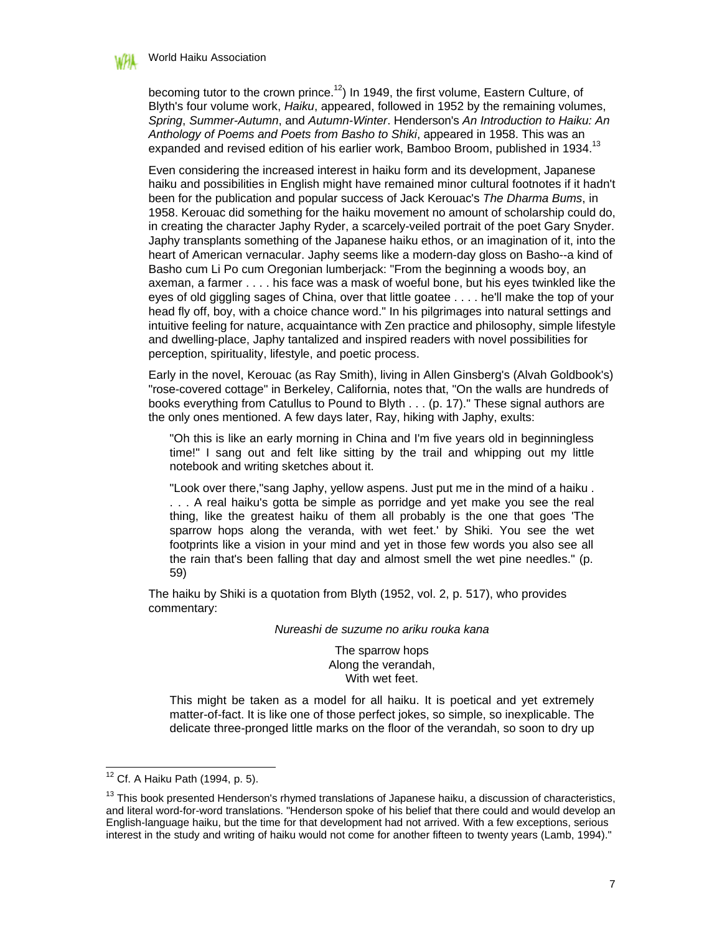

becoming tutor to the crown prince.<sup>12</sup>) In 1949, the first volume, Eastern Culture, of Blyth's four volume work, *Haiku*, appeared, followed in 1952 by the remaining volumes, *Spring*, *Summer-Autumn*, and *Autumn-Winter*. Henderson's *An Introduction to Haiku: An Anthology of Poems and Poets from Basho to Shiki*, appeared in 1958. This was an expanded and revised edition of his earlier work, Bamboo Broom, published in 1934.<sup>13</sup>

Even considering the increased interest in haiku form and its development, Japanese haiku and possibilities in English might have remained minor cultural footnotes if it hadn't been for the publication and popular success of Jack Kerouac's *The Dharma Bums*, in 1958. Kerouac did something for the haiku movement no amount of scholarship could do, in creating the character Japhy Ryder, a scarcely-veiled portrait of the poet Gary Snyder. Japhy transplants something of the Japanese haiku ethos, or an imagination of it, into the heart of American vernacular. Japhy seems like a modern-day gloss on Basho--a kind of Basho cum Li Po cum Oregonian lumberjack: "From the beginning a woods boy, an axeman, a farmer . . . . his face was a mask of woeful bone, but his eyes twinkled like the eyes of old giggling sages of China, over that little goatee . . . . he'll make the top of your head fly off, boy, with a choice chance word." In his pilgrimages into natural settings and intuitive feeling for nature, acquaintance with Zen practice and philosophy, simple lifestyle and dwelling-place, Japhy tantalized and inspired readers with novel possibilities for perception, spirituality, lifestyle, and poetic process.

Early in the novel, Kerouac (as Ray Smith), living in Allen Ginsberg's (Alvah Goldbook's) "rose-covered cottage" in Berkeley, California, notes that, "On the walls are hundreds of books everything from Catullus to Pound to Blyth . . . (p. 17)." These signal authors are the only ones mentioned. A few days later, Ray, hiking with Japhy, exults:

"Oh this is like an early morning in China and I'm five years old in beginningless time!" I sang out and felt like sitting by the trail and whipping out my little notebook and writing sketches about it.

"Look over there,"sang Japhy, yellow aspens. Just put me in the mind of a haiku . . . . A real haiku's gotta be simple as porridge and yet make you see the real thing, like the greatest haiku of them all probably is the one that goes 'The sparrow hops along the veranda, with wet feet.' by Shiki. You see the wet footprints like a vision in your mind and yet in those few words you also see all the rain that's been falling that day and almost smell the wet pine needles." (p. 59)

The haiku by Shiki is a quotation from Blyth (1952, vol. 2, p. 517), who provides commentary:

*Nureashi de suzume no ariku rouka kana*

The sparrow hops Along the verandah, With wet feet.

This might be taken as a model for all haiku. It is poetical and yet extremely matter-of-fact. It is like one of those perfect jokes, so simple, so inexplicable. The delicate three-pronged little marks on the floor of the verandah, so soon to dry up

 $12$  Cf. A Haiku Path (1994, p. 5).

<sup>&</sup>lt;sup>13</sup> This book presented Henderson's rhymed translations of Japanese haiku, a discussion of characteristics, and literal word-for-word translations. "Henderson spoke of his belief that there could and would develop an English-language haiku, but the time for that development had not arrived. With a few exceptions, serious interest in the study and writing of haiku would not come for another fifteen to twenty years (Lamb, 1994)."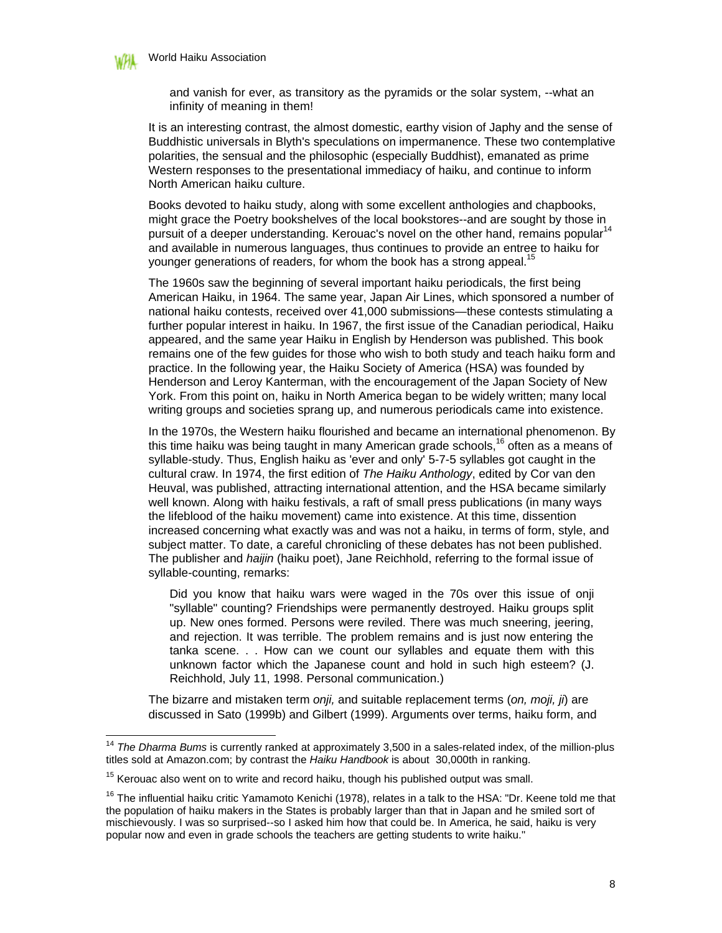

and vanish for ever, as transitory as the pyramids or the solar system, --what an infinity of meaning in them!

It is an interesting contrast, the almost domestic, earthy vision of Japhy and the sense of Buddhistic universals in Blyth's speculations on impermanence. These two contemplative polarities, the sensual and the philosophic (especially Buddhist), emanated as prime Western responses to the presentational immediacy of haiku, and continue to inform North American haiku culture.

Books devoted to haiku study, along with some excellent anthologies and chapbooks, might grace the Poetry bookshelves of the local bookstores--and are sought by those in pursuit of a deeper understanding. Kerouac's novel on the other hand, remains popular<sup>14</sup> and available in numerous languages, thus continues to provide an entree to haiku for younger generations of readers, for whom the book has a strong appeal.<sup>15</sup>

The 1960s saw the beginning of several important haiku periodicals, the first being American Haiku, in 1964. The same year, Japan Air Lines, which sponsored a number of national haiku contests, received over 41,000 submissions—these contests stimulating a further popular interest in haiku. In 1967, the first issue of the Canadian periodical, Haiku appeared, and the same year Haiku in English by Henderson was published. This book remains one of the few guides for those who wish to both study and teach haiku form and practice. In the following year, the Haiku Society of America (HSA) was founded by Henderson and Leroy Kanterman, with the encouragement of the Japan Society of New York. From this point on, haiku in North America began to be widely written; many local writing groups and societies sprang up, and numerous periodicals came into existence.

In the 1970s, the Western haiku flourished and became an international phenomenon. By this time haiku was being taught in many American grade schools,<sup>16</sup> often as a means of syllable-study. Thus, English haiku as 'ever and only' 5-7-5 syllables got caught in the cultural craw. In 1974, the first edition of *The Haiku Anthology*, edited by Cor van den Heuval, was published, attracting international attention, and the HSA became similarly well known. Along with haiku festivals, a raft of small press publications (in many ways the lifeblood of the haiku movement) came into existence. At this time, dissention increased concerning what exactly was and was not a haiku, in terms of form, style, and subject matter. To date, a careful chronicling of these debates has not been published. The publisher and *haijin* (haiku poet), Jane Reichhold, referring to the formal issue of syllable-counting, remarks:

Did you know that haiku wars were waged in the 70s over this issue of onji "syllable" counting? Friendships were permanently destroyed. Haiku groups split up. New ones formed. Persons were reviled. There was much sneering, jeering, and rejection. It was terrible. The problem remains and is just now entering the tanka scene. . . How can we count our syllables and equate them with this unknown factor which the Japanese count and hold in such high esteem? (J. Reichhold, July 11, 1998. Personal communication.)

The bizarre and mistaken term *onji,* and suitable replacement terms (*on, moji, ji*) are discussed in Sato (1999b) and Gilbert (1999). Arguments over terms, haiku form, and

<sup>&</sup>lt;sup>14</sup> The Dharma Bums is currently ranked at approximately 3,500 in a sales-related index, of the million-plus titles sold at Amazon.com; by contrast the *Haiku Handbook* is about 30,000th in ranking.

 $15$  Kerouac also went on to write and record haiku, though his published output was small.

<sup>&</sup>lt;sup>16</sup> The influential haiku critic Yamamoto Kenichi (1978), relates in a talk to the HSA: "Dr. Keene told me that the population of haiku makers in the States is probably larger than that in Japan and he smiled sort of mischievously. I was so surprised--so I asked him how that could be. In America, he said, haiku is very popular now and even in grade schools the teachers are getting students to write haiku."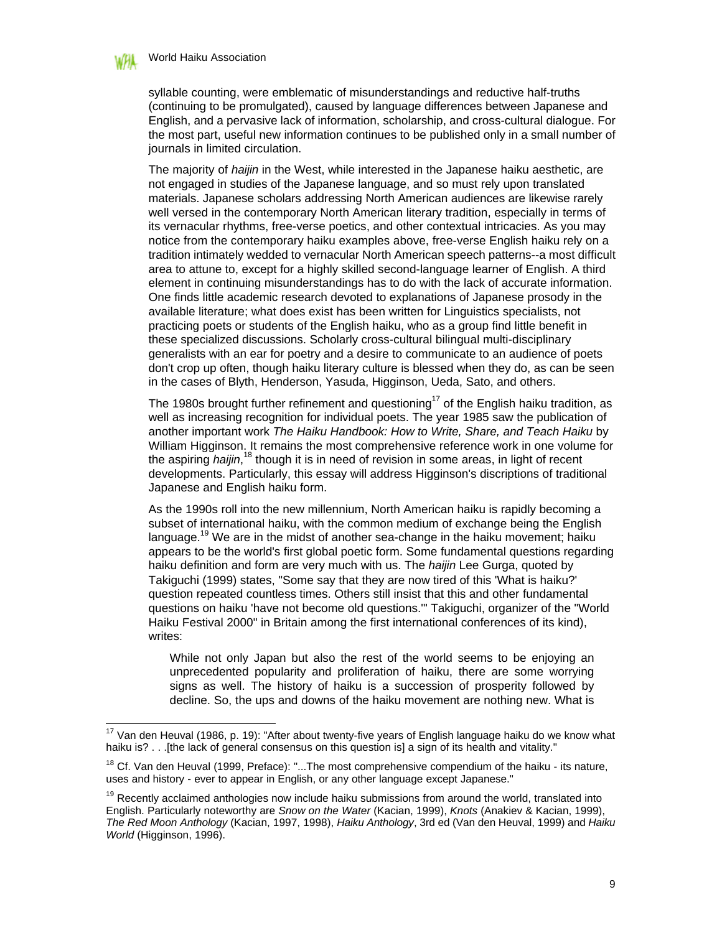#### World Haiku Association

 $\overline{\phantom{a}}$ 

syllable counting, were emblematic of misunderstandings and reductive half-truths (continuing to be promulgated), caused by language differences between Japanese and English, and a pervasive lack of information, scholarship, and cross-cultural dialogue. For the most part, useful new information continues to be published only in a small number of journals in limited circulation.

The majority of *haijin* in the West, while interested in the Japanese haiku aesthetic, are not engaged in studies of the Japanese language, and so must rely upon translated materials. Japanese scholars addressing North American audiences are likewise rarely well versed in the contemporary North American literary tradition, especially in terms of its vernacular rhythms, free-verse poetics, and other contextual intricacies. As you may notice from the contemporary haiku examples above, free-verse English haiku rely on a tradition intimately wedded to vernacular North American speech patterns--a most difficult area to attune to, except for a highly skilled second-language learner of English. A third element in continuing misunderstandings has to do with the lack of accurate information. One finds little academic research devoted to explanations of Japanese prosody in the available literature; what does exist has been written for Linguistics specialists, not practicing poets or students of the English haiku, who as a group find little benefit in these specialized discussions. Scholarly cross-cultural bilingual multi-disciplinary generalists with an ear for poetry and a desire to communicate to an audience of poets don't crop up often, though haiku literary culture is blessed when they do, as can be seen in the cases of Blyth, Henderson, Yasuda, Higginson, Ueda, Sato, and others.

The 1980s brought further refinement and questioning<sup>17</sup> of the English haiku tradition, as well as increasing recognition for individual poets. The year 1985 saw the publication of another important work *The Haiku Handbook: How to Write, Share, and Teach Haiku* by William Higginson. It remains the most comprehensive reference work in one volume for the aspiring *haijin*,<sup>18</sup> though it is in need of revision in some areas, in light of recent developments. Particularly, this essay will address Higginson's discriptions of traditional Japanese and English haiku form.

As the 1990s roll into the new millennium, North American haiku is rapidly becoming a subset of international haiku, with the common medium of exchange being the English language.<sup>19</sup> We are in the midst of another sea-change in the haiku movement; haiku appears to be the world's first global poetic form. Some fundamental questions regarding haiku definition and form are very much with us. The *haijin* Lee Gurga, quoted by Takiguchi (1999) states, "Some say that they are now tired of this 'What is haiku?' question repeated countless times. Others still insist that this and other fundamental questions on haiku 'have not become old questions.'" Takiguchi, organizer of the "World Haiku Festival 2000" in Britain among the first international conferences of its kind), writes:

While not only Japan but also the rest of the world seems to be enjoying an unprecedented popularity and proliferation of haiku, there are some worrying signs as well. The history of haiku is a succession of prosperity followed by decline. So, the ups and downs of the haiku movement are nothing new. What is

 $17$  Van den Heuval (1986, p. 19): "After about twenty-five years of English language haiku do we know what haiku is? . . .[the lack of general consensus on this question is] a sign of its health and vitality."

<sup>&</sup>lt;sup>18</sup> Cf. Van den Heuval (1999, Preface): "...The most comprehensive compendium of the haiku - its nature, uses and history - ever to appear in English, or any other language except Japanese."

 $19$  Recently acclaimed anthologies now include haiku submissions from around the world, translated into English. Particularly noteworthy are *Snow on the Water* (Kacian, 1999), *Knots* (Anakiev & Kacian, 1999), *The Red Moon Anthology* (Kacian, 1997, 1998), *Haiku Anthology*, 3rd ed (Van den Heuval, 1999) and *Haiku World* (Higginson, 1996).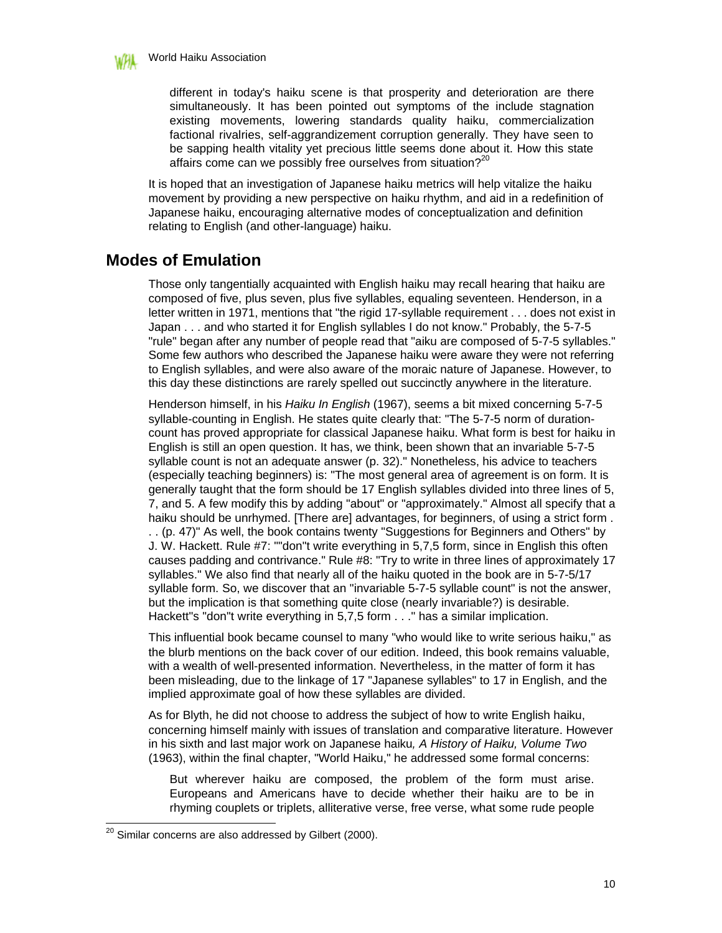

different in today's haiku scene is that prosperity and deterioration are there simultaneously. It has been pointed out symptoms of the include stagnation existing movements, lowering standards quality haiku, commercialization factional rivalries, self-aggrandizement corruption generally. They have seen to be sapping health vitality yet precious little seems done about it. How this state affairs come can we possibly free ourselves from situation? $2^{20}$ 

It is hoped that an investigation of Japanese haiku metrics will help vitalize the haiku movement by providing a new perspective on haiku rhythm, and aid in a redefinition of Japanese haiku, encouraging alternative modes of conceptualization and definition relating to English (and other-language) haiku.

# **Modes of Emulation**

Those only tangentially acquainted with English haiku may recall hearing that haiku are composed of five, plus seven, plus five syllables, equaling seventeen. Henderson, in a letter written in 1971, mentions that "the rigid 17-syllable requirement . . . does not exist in Japan . . . and who started it for English syllables I do not know." Probably, the 5-7-5 "rule" began after any number of people read that "aiku are composed of 5-7-5 syllables." Some few authors who described the Japanese haiku were aware they were not referring to English syllables, and were also aware of the moraic nature of Japanese. However, to this day these distinctions are rarely spelled out succinctly anywhere in the literature.

Henderson himself, in his *Haiku In English* (1967), seems a bit mixed concerning 5-7-5 syllable-counting in English. He states quite clearly that: "The 5-7-5 norm of durationcount has proved appropriate for classical Japanese haiku. What form is best for haiku in English is still an open question. It has, we think, been shown that an invariable 5-7-5 syllable count is not an adequate answer (p. 32)." Nonetheless, his advice to teachers (especially teaching beginners) is: "The most general area of agreement is on form. It is generally taught that the form should be 17 English syllables divided into three lines of 5, 7, and 5. A few modify this by adding "about" or "approximately." Almost all specify that a haiku should be unrhymed. [There are] advantages, for beginners, of using a strict form . . . (p. 47)" As well, the book contains twenty "Suggestions for Beginners and Others" by J. W. Hackett. Rule #7: ""don"t write everything in 5,7,5 form, since in English this often causes padding and contrivance." Rule #8: "Try to write in three lines of approximately 17 syllables." We also find that nearly all of the haiku quoted in the book are in 5-7-5/17 syllable form. So, we discover that an "invariable 5-7-5 syllable count" is not the answer, but the implication is that something quite close (nearly invariable?) is desirable. Hackett"s "don"t write everything in 5,7,5 form . . ." has a similar implication.

This influential book became counsel to many "who would like to write serious haiku," as the blurb mentions on the back cover of our edition. Indeed, this book remains valuable, with a wealth of well-presented information. Nevertheless, in the matter of form it has been misleading, due to the linkage of 17 "Japanese syllables" to 17 in English, and the implied approximate goal of how these syllables are divided.

As for Blyth, he did not choose to address the subject of how to write English haiku, concerning himself mainly with issues of translation and comparative literature. However in his sixth and last major work on Japanese haiku*, A History of Haiku, Volume Two* (1963), within the final chapter, "World Haiku," he addressed some formal concerns:

But wherever haiku are composed, the problem of the form must arise. Europeans and Americans have to decide whether their haiku are to be in rhyming couplets or triplets, alliterative verse, free verse, what some rude people

 $^{20}$  Similar concerns are also addressed by Gilbert (2000).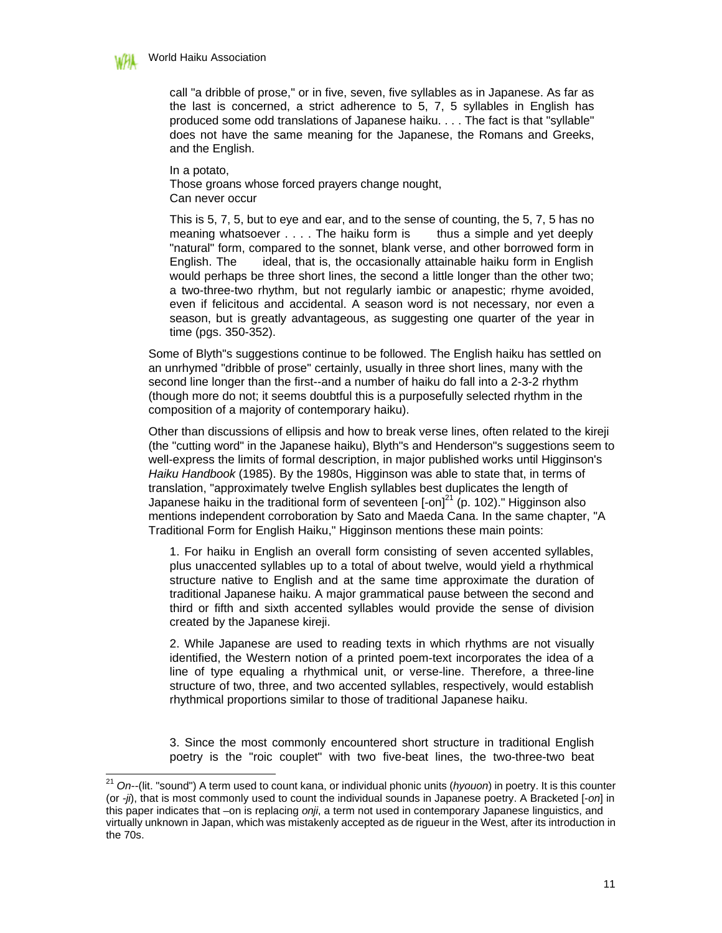

call "a dribble of prose," or in five, seven, five syllables as in Japanese. As far as the last is concerned, a strict adherence to 5, 7, 5 syllables in English has produced some odd translations of Japanese haiku. . . . The fact is that "syllable" does not have the same meaning for the Japanese, the Romans and Greeks, and the English.

In a potato,

 $\overline{\phantom{a}}$ 

Those groans whose forced prayers change nought, Can never occur

This is 5, 7, 5, but to eye and ear, and to the sense of counting, the 5, 7, 5 has no meaning whatsoever . . . . The haiku form is thus a simple and yet deeply "natural" form, compared to the sonnet, blank verse, and other borrowed form in English. The ideal, that is, the occasionally attainable haiku form in English would perhaps be three short lines, the second a little longer than the other two; a two-three-two rhythm, but not regularly iambic or anapestic; rhyme avoided, even if felicitous and accidental. A season word is not necessary, nor even a season, but is greatly advantageous, as suggesting one quarter of the year in time (pgs. 350-352).

Some of Blyth"s suggestions continue to be followed. The English haiku has settled on an unrhymed "dribble of prose" certainly, usually in three short lines, many with the second line longer than the first--and a number of haiku do fall into a 2-3-2 rhythm (though more do not; it seems doubtful this is a purposefully selected rhythm in the composition of a majority of contemporary haiku).

Other than discussions of ellipsis and how to break verse lines, often related to the kireji (the "cutting word" in the Japanese haiku), Blyth"s and Henderson"s suggestions seem to well-express the limits of formal description, in major published works until Higginson's *Haiku Handbook* (1985). By the 1980s, Higginson was able to state that, in terms of translation, "approximately twelve English syllables best duplicates the length of Japanese haiku in the traditional form of seventeen  $\text{[-on]}^{21}$  (p. 102)." Higginson also mentions independent corroboration by Sato and Maeda Cana. In the same chapter, "A Traditional Form for English Haiku," Higginson mentions these main points:

1. For haiku in English an overall form consisting of seven accented syllables, plus unaccented syllables up to a total of about twelve, would yield a rhythmical structure native to English and at the same time approximate the duration of traditional Japanese haiku. A major grammatical pause between the second and third or fifth and sixth accented syllables would provide the sense of division created by the Japanese kireji.

2. While Japanese are used to reading texts in which rhythms are not visually identified, the Western notion of a printed poem-text incorporates the idea of a line of type equaling a rhythmical unit, or verse-line. Therefore, a three-line structure of two, three, and two accented syllables, respectively, would establish rhythmical proportions similar to those of traditional Japanese haiku.

3. Since the most commonly encountered short structure in traditional English poetry is the "roic couplet" with two five-beat lines, the two-three-two beat

<sup>21</sup> *On*--(lit. "sound") A term used to count kana, or individual phonic units (*hyouon*) in poetry. It is this counter (or *-ji*), that is most commonly used to count the individual sounds in Japanese poetry. A Bracketed [-*on*] in this paper indicates that –on is replacing *onji*, a term not used in contemporary Japanese linguistics, and virtually unknown in Japan, which was mistakenly accepted as de rigueur in the West, after its introduction in the 70s.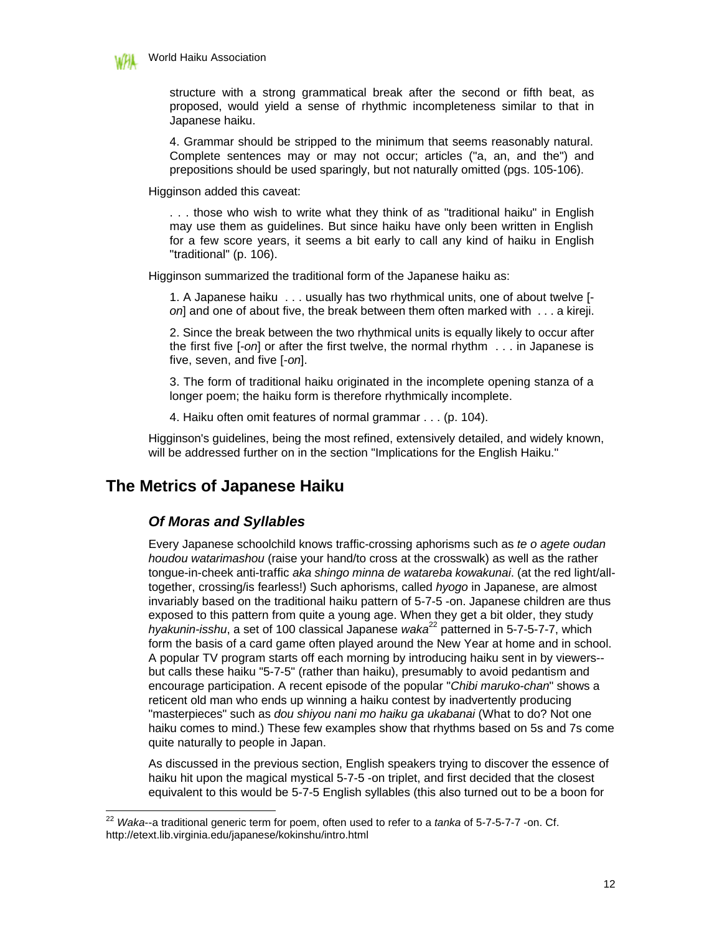

-

structure with a strong grammatical break after the second or fifth beat, as proposed, would yield a sense of rhythmic incompleteness similar to that in Japanese haiku.

4. Grammar should be stripped to the minimum that seems reasonably natural. Complete sentences may or may not occur; articles ("a, an, and the") and prepositions should be used sparingly, but not naturally omitted (pgs. 105-106).

Higginson added this caveat:

. . . those who wish to write what they think of as "traditional haiku" in English may use them as guidelines. But since haiku have only been written in English for a few score years, it seems a bit early to call any kind of haiku in English "traditional" (p. 106).

Higginson summarized the traditional form of the Japanese haiku as:

1. A Japanese haiku . . . usually has two rhythmical units, one of about twelve [ *on*] and one of about five, the break between them often marked with . . . a kireji.

2. Since the break between the two rhythmical units is equally likely to occur after the first five [-*on*] or after the first twelve, the normal rhythm . . . in Japanese is five, seven, and five [-*on*].

3. The form of traditional haiku originated in the incomplete opening stanza of a longer poem; the haiku form is therefore rhythmically incomplete.

4. Haiku often omit features of normal grammar . . . (p. 104).

Higginson's guidelines, being the most refined, extensively detailed, and widely known, will be addressed further on in the section "Implications for the English Haiku."

# **The Metrics of Japanese Haiku**

### *Of Moras and Syllables*

Every Japanese schoolchild knows traffic-crossing aphorisms such as *te o agete oudan houdou watarimashou* (raise your hand/to cross at the crosswalk) as well as the rather tongue-in-cheek anti-traffic *aka shingo minna de watareba kowakunai*. (at the red light/alltogether, crossing/is fearless!) Such aphorisms, called *hyogo* in Japanese, are almost invariably based on the traditional haiku pattern of 5-7-5 -on. Japanese children are thus exposed to this pattern from quite a young age. When they get a bit older, they study *hyakunin-isshu*, a set of 100 classical Japanese *waka*<sup>22</sup> patterned in 5-7-5-7-7, which form the basis of a card game often played around the New Year at home and in school. A popular TV program starts off each morning by introducing haiku sent in by viewers- but calls these haiku "5-7-5" (rather than haiku), presumably to avoid pedantism and encourage participation. A recent episode of the popular "*Chibi maruko-chan*" shows a reticent old man who ends up winning a haiku contest by inadvertently producing "masterpieces" such as *dou shiyou nani mo haiku ga ukabanai* (What to do? Not one haiku comes to mind.) These few examples show that rhythms based on 5s and 7s come quite naturally to people in Japan.

As discussed in the previous section, English speakers trying to discover the essence of haiku hit upon the magical mystical 5-7-5 -on triplet, and first decided that the closest equivalent to this would be 5-7-5 English syllables (this also turned out to be a boon for

<sup>22</sup> *Waka*--a traditional generic term for poem, often used to refer to a *tanka* of 5-7-5-7-7 -on. Cf. http://etext.lib.virginia.edu/japanese/kokinshu/intro.html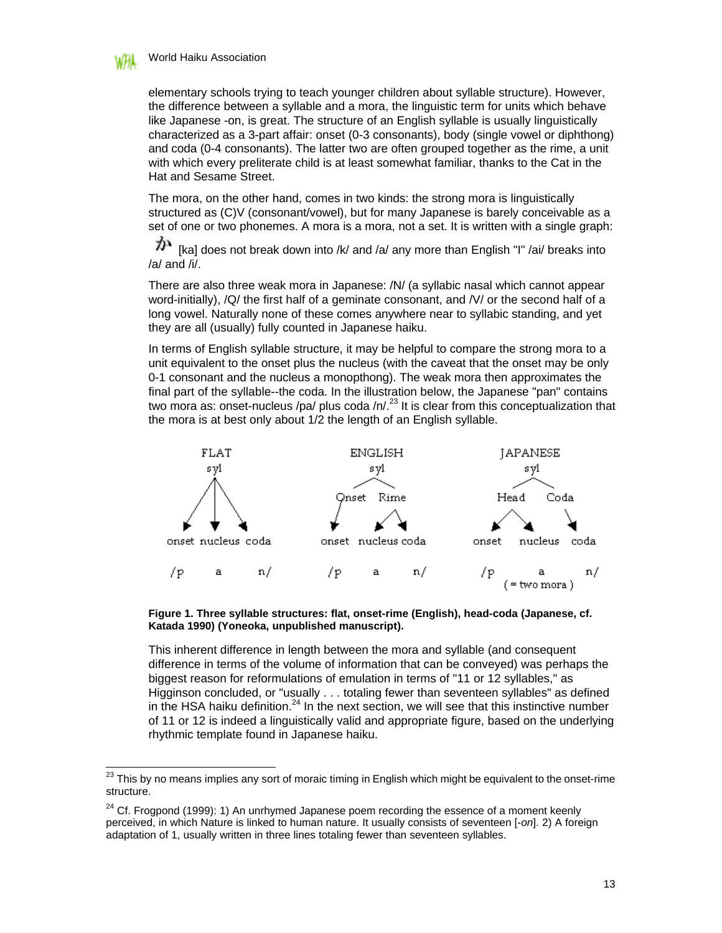

 $\overline{\phantom{a}}$ 

elementary schools trying to teach younger children about syllable structure). However, the difference between a syllable and a mora, the linguistic term for units which behave like Japanese -on, is great. The structure of an English syllable is usually linguistically characterized as a 3-part affair: onset (0-3 consonants), body (single vowel or diphthong) and coda (0-4 consonants). The latter two are often grouped together as the rime, a unit with which every preliterate child is at least somewhat familiar, thanks to the Cat in the Hat and Sesame Street.

The mora, on the other hand, comes in two kinds: the strong mora is linguistically structured as (C)V (consonant/vowel), but for many Japanese is barely conceivable as a set of one or two phonemes. A mora is a mora, not a set. It is written with a single graph:

か [ka] does not break down into /k/ and /a/ any more than English "I" /ai/ breaks into  $/$ a/ and  $/$ i $/$ .

There are also three weak mora in Japanese: /N/ (a syllabic nasal which cannot appear word-initially), /Q/ the first half of a geminate consonant, and /V/ or the second half of a long vowel. Naturally none of these comes anywhere near to syllabic standing, and yet they are all (usually) fully counted in Japanese haiku.

In terms of English syllable structure, it may be helpful to compare the strong mora to a unit equivalent to the onset plus the nucleus (with the caveat that the onset may be only 0-1 consonant and the nucleus a monopthong). The weak mora then approximates the final part of the syllable--the coda. In the illustration below, the Japanese "pan" contains two mora as: onset-nucleus /pa/ plus coda /n/.<sup>23</sup> It is clear from this conceptualization that the mora is at best only about 1/2 the length of an English syllable.



**Figure 1. Three syllable structures: flat, onset-rime (English), head-coda (Japanese, cf. Katada 1990) (Yoneoka, unpublished manuscript).**

This inherent difference in length between the mora and syllable (and consequent difference in terms of the volume of information that can be conveyed) was perhaps the biggest reason for reformulations of emulation in terms of "11 or 12 syllables," as Higginson concluded, or "usually . . . totaling fewer than seventeen syllables" as defined in the HSA haiku definition.<sup>24</sup> In the next section, we will see that this instinctive number of 11 or 12 is indeed a linguistically valid and appropriate figure, based on the underlying rhythmic template found in Japanese haiku.

 $^{23}$  This by no means implies any sort of moraic timing in English which might be equivalent to the onset-rime structure.

 $24$  Cf. Frogpond (1999): 1) An unrhymed Japanese poem recording the essence of a moment keenly perceived, in which Nature is linked to human nature. It usually consists of seventeen [-*on*]. 2) A foreign adaptation of 1, usually written in three lines totaling fewer than seventeen syllables.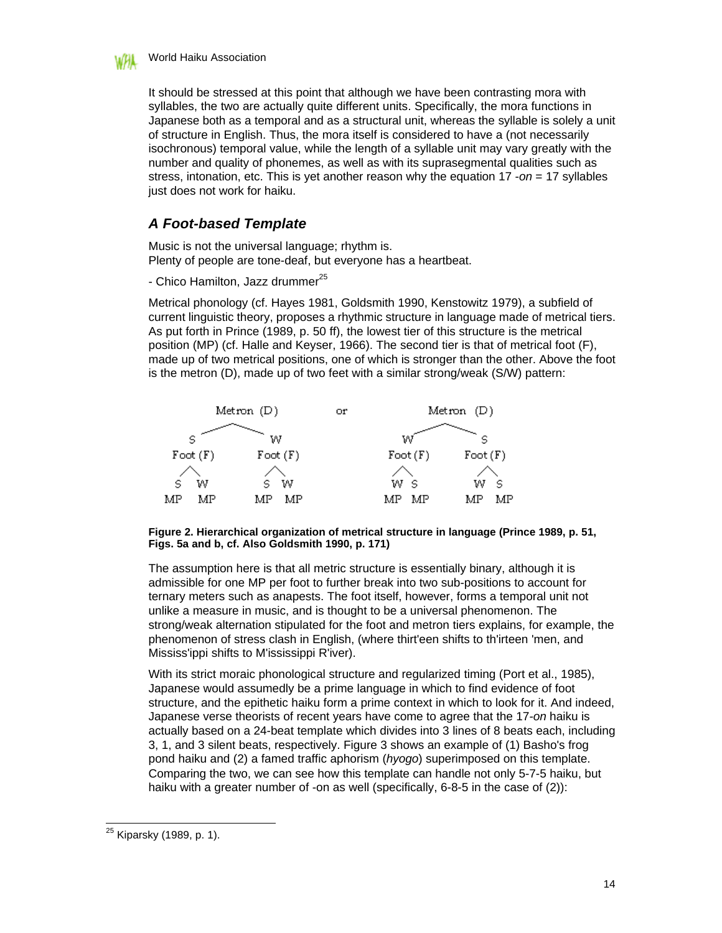

It should be stressed at this point that although we have been contrasting mora with syllables, the two are actually quite different units. Specifically, the mora functions in Japanese both as a temporal and as a structural unit, whereas the syllable is solely a unit of structure in English. Thus, the mora itself is considered to have a (not necessarily isochronous) temporal value, while the length of a syllable unit may vary greatly with the number and quality of phonemes, as well as with its suprasegmental qualities such as stress, intonation, etc. This is yet another reason why the equation 17 -*on* = 17 syllables just does not work for haiku.

### *A Foot-based Template*

Music is not the universal language; rhythm is. Plenty of people are tone-deaf, but everyone has a heartbeat.

- Chico Hamilton, Jazz drummer $^{25}$ 

Metrical phonology (cf. Hayes 1981, Goldsmith 1990, Kenstowitz 1979), a subfield of current linguistic theory, proposes a rhythmic structure in language made of metrical tiers. As put forth in Prince (1989, p. 50 ff), the lowest tier of this structure is the metrical position (MP) (cf. Halle and Keyser, 1966). The second tier is that of metrical foot (F), made up of two metrical positions, one of which is stronger than the other. Above the foot is the metron (D), made up of two feet with a similar strong/weak (S/W) pattern:



#### **Figure 2. Hierarchical organization of metrical structure in language (Prince 1989, p. 51, Figs. 5a and b, cf. Also Goldsmith 1990, p. 171)**

The assumption here is that all metric structure is essentially binary, although it is admissible for one MP per foot to further break into two sub-positions to account for ternary meters such as anapests. The foot itself, however, forms a temporal unit not unlike a measure in music, and is thought to be a universal phenomenon. The strong/weak alternation stipulated for the foot and metron tiers explains, for example, the phenomenon of stress clash in English, (where thirt'een shifts to th'irteen 'men, and Mississ'ippi shifts to M'ississippi R'iver).

With its strict moraic phonological structure and regularized timing (Port et al., 1985), Japanese would assumedly be a prime language in which to find evidence of foot structure, and the epithetic haiku form a prime context in which to look for it. And indeed, Japanese verse theorists of recent years have come to agree that the 17*-on* haiku is actually based on a 24-beat template which divides into 3 lines of 8 beats each, including 3, 1, and 3 silent beats, respectively. Figure 3 shows an example of (1) Basho's frog pond haiku and (2) a famed traffic aphorism (*hyogo*) superimposed on this template. Comparing the two, we can see how this template can handle not only 5-7-5 haiku, but haiku with a greater number of -on as well (specifically, 6-8-5 in the case of (2)):

 $\overline{\phantom{a}}$ <sup>25</sup> Kiparsky (1989, p. 1).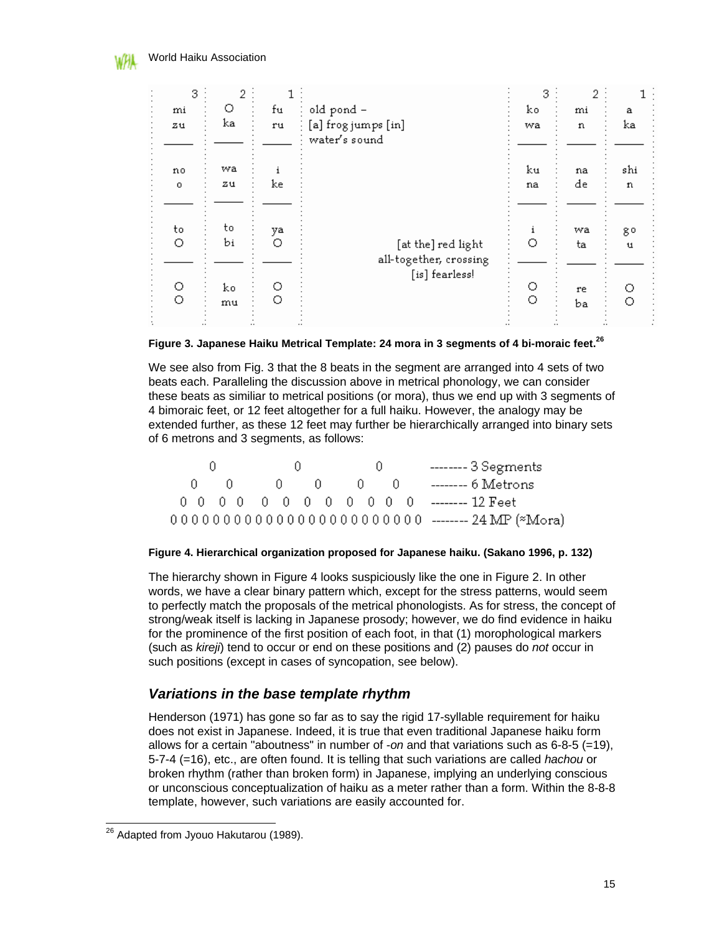| 3       | 2        |         |                                              | 3            | 2        |                    |
|---------|----------|---------|----------------------------------------------|--------------|----------|--------------------|
| mi      | O        | fu      | old pond -                                   | ko           | mi       | а                  |
| ZU.     | ka       | ru      | [a] frog jumps [in]<br>water's sound         | wa           | n        | ka                 |
| no      | wa       | 1       |                                              | ku           | na       | shi                |
| $\circ$ | 211      | ke      |                                              | na           | de       | n                  |
| to<br>O | to<br>bi | ya<br>О | [at the] red light<br>all-together, crossing | 1<br>O       | wa<br>ta | g٥<br>$\mathbf{u}$ |
| O<br>Ō  | ko<br>mu | О<br>О  | [is] fearless!                               | О<br>$\circ$ | re<br>Ъa | О<br>О             |

#### **Figure 3. Japanese Haiku Metrical Template: 24 mora in 3 segments of 4 bi-moraic feet.<sup>26</sup>**

We see also from Fig. 3 that the 8 beats in the segment are arranged into 4 sets of two beats each. Paralleling the discussion above in metrical phonology, we can consider these beats as similiar to metrical positions (or mora), thus we end up with 3 segments of 4 bimoraic feet, or 12 feet altogether for a full haiku. However, the analogy may be extended further, as these 12 feet may further be hierarchically arranged into binary sets of 6 metrons and 3 segments, as follows:



#### **Figure 4. Hierarchical organization proposed for Japanese haiku. (Sakano 1996, p. 132)**

The hierarchy shown in Figure 4 looks suspiciously like the one in Figure 2. In other words, we have a clear binary pattern which, except for the stress patterns, would seem to perfectly match the proposals of the metrical phonologists. As for stress, the concept of strong/weak itself is lacking in Japanese prosody; however, we do find evidence in haiku for the prominence of the first position of each foot, in that (1) morophological markers (such as *kireji*) tend to occur or end on these positions and (2) pauses do *not* occur in such positions (except in cases of syncopation, see below).

#### *Variations in the base template rhythm*

Henderson (1971) has gone so far as to say the rigid 17-syllable requirement for haiku does not exist in Japanese. Indeed, it is true that even traditional Japanese haiku form allows for a certain "aboutness" in number of -*on* and that variations such as 6-8-5 (=19), 5-7-4 (=16), etc., are often found. It is telling that such variations are called *hachou* or broken rhythm (rather than broken form) in Japanese, implying an underlying conscious or unconscious conceptualization of haiku as a meter rather than a form. Within the 8-8-8 template, however, such variations are easily accounted for.

 $\overline{\phantom{a}}$ <sup>26</sup> Adapted from Jyouo Hakutarou (1989).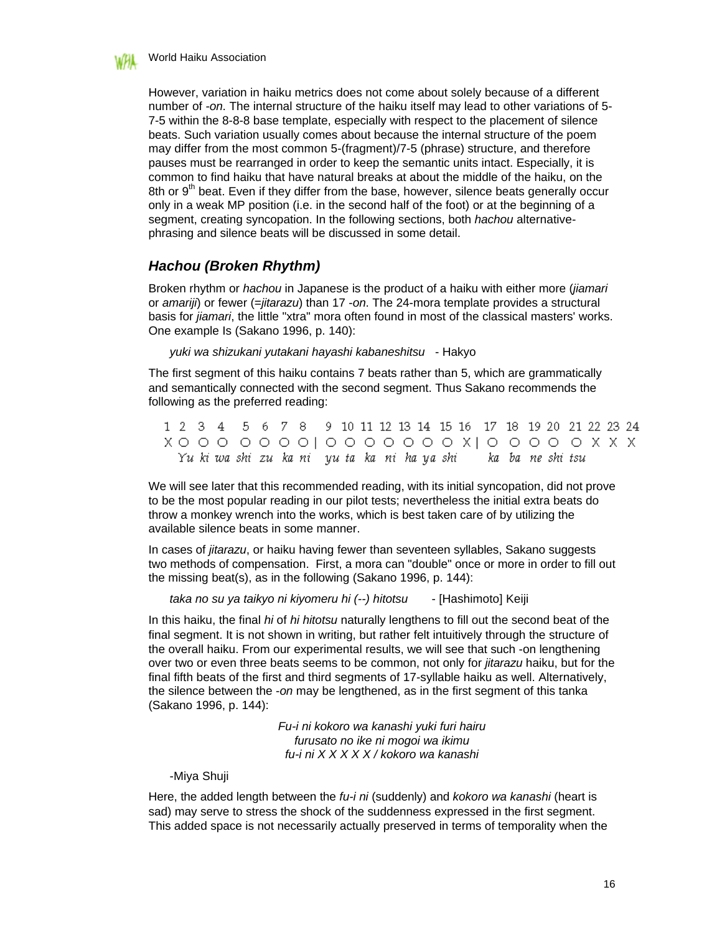

However, variation in haiku metrics does not come about solely because of a different number of *-on*. The internal structure of the haiku itself may lead to other variations of 5- 7-5 within the 8-8-8 base template, especially with respect to the placement of silence beats. Such variation usually comes about because the internal structure of the poem may differ from the most common 5-(fragment)/7-5 (phrase) structure, and therefore pauses must be rearranged in order to keep the semantic units intact. Especially, it is common to find haiku that have natural breaks at about the middle of the haiku, on the 8th or 9<sup>th</sup> beat. Even if they differ from the base, however, silence beats generally occur only in a weak MP position (i.e. in the second half of the foot) or at the beginning of a segment, creating syncopation. In the following sections, both *hachou* alternativephrasing and silence beats will be discussed in some detail.

### *Hachou (Broken Rhythm)*

Broken rhythm or *hachou* in Japanese is the product of a haiku with either more (*jiamari*  or *amariji*) or fewer (=*jitarazu*) than 17 -*on*. The 24-mora template provides a structural basis for *jiamari*, the little "xtra" mora often found in most of the classical masters' works. One example Is (Sakano 1996, p. 140):

*yuki wa shizukani yutakani hayashi kabaneshitsu* - Hakyo

The first segment of this haiku contains 7 beats rather than 5, which are grammatically and semantically connected with the second segment. Thus Sakano recommends the following as the preferred reading:

1 2 3 4 5 6 7 8 9 10 11 12 13 14 15 16 17 18 19 20 21 22 23 24 Yu ki wa shi zu ka ni yu ta ka ni ha ya shi ka ba ne shi tsu

We will see later that this recommended reading, with its initial syncopation, did not prove to be the most popular reading in our pilot tests; nevertheless the initial extra beats do throw a monkey wrench into the works, which is best taken care of by utilizing the available silence beats in some manner.

In cases of *jitarazu*, or haiku having fewer than seventeen syllables, Sakano suggests two methods of compensation. First, a mora can "double" once or more in order to fill out the missing beat(s), as in the following (Sakano 1996, p. 144):

*taka no su ya taikyo ni kiyomeru hi (--) hitotsu* - [Hashimoto] Keiji

In this haiku, the final *hi* of *hi hitotsu* naturally lengthens to fill out the second beat of the final segment. It is not shown in writing, but rather felt intuitively through the structure of the overall haiku. From our experimental results, we will see that such -on lengthening over two or even three beats seems to be common, not only for *jitarazu* haiku, but for the final fifth beats of the first and third segments of 17-syllable haiku as well. Alternatively, the silence between the -*on* may be lengthened, as in the first segment of this tanka (Sakano 1996, p. 144):

> *Fu-i ni kokoro wa kanashi yuki furi hairu furusato no ike ni mogoi wa ikimu fu-i ni X X X X X / kokoro wa kanashi*

#### -Miya Shuji

Here, the added length between the *fu-i ni* (suddenly) and *kokoro wa kanashi* (heart is sad) may serve to stress the shock of the suddenness expressed in the first segment. This added space is not necessarily actually preserved in terms of temporality when the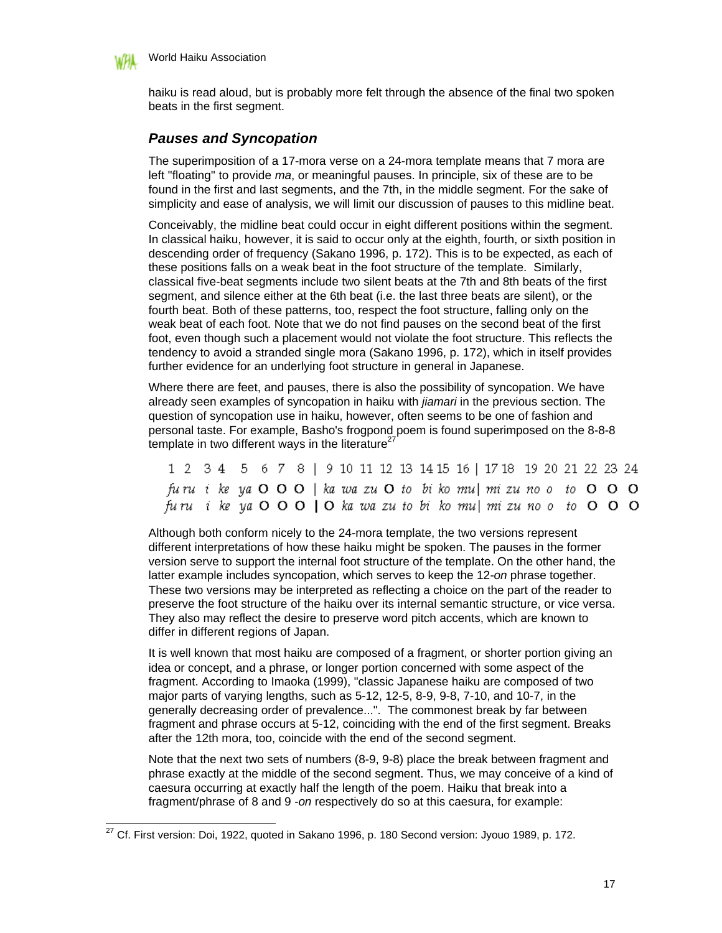

 $\overline{\phantom{a}}$ 

World Haiku Association

haiku is read aloud, but is probably more felt through the absence of the final two spoken beats in the first segment.

### *Pauses and Syncopation*

The superimposition of a 17-mora verse on a 24-mora template means that 7 mora are left "floating" to provide *ma*, or meaningful pauses. In principle, six of these are to be found in the first and last segments, and the 7th, in the middle segment. For the sake of simplicity and ease of analysis, we will limit our discussion of pauses to this midline beat.

Conceivably, the midline beat could occur in eight different positions within the segment. In classical haiku, however, it is said to occur only at the eighth, fourth, or sixth position in descending order of frequency (Sakano 1996, p. 172). This is to be expected, as each of these positions falls on a weak beat in the foot structure of the template. Similarly, classical five-beat segments include two silent beats at the 7th and 8th beats of the first segment, and silence either at the 6th beat (i.e. the last three beats are silent), or the fourth beat. Both of these patterns, too, respect the foot structure, falling only on the weak beat of each foot. Note that we do not find pauses on the second beat of the first foot, even though such a placement would not violate the foot structure. This reflects the tendency to avoid a stranded single mora (Sakano 1996, p. 172), which in itself provides further evidence for an underlying foot structure in general in Japanese.

Where there are feet, and pauses, there is also the possibility of syncopation. We have already seen examples of syncopation in haiku with *jiamari* in the previous section. The question of syncopation use in haiku, however, often seems to be one of fashion and personal taste. For example, Basho's frogpond poem is found superimposed on the 8-8-8 template in two different ways in the literature<sup>21</sup>

| 1 2 3 4 5 6 7 8   9 10 11 12 13 14 15 16   17 18 19 20 21 22 23 24 |  |  |  |  |  |  |  |  |  |  |  |  |
|--------------------------------------------------------------------|--|--|--|--|--|--|--|--|--|--|--|--|
| furu i ke ya OOO   ka wa zu O to bi ko mu  mi zu no o to OOO       |  |  |  |  |  |  |  |  |  |  |  |  |
| furu ike ya OOO   Oka wa zu to bi komu  mi zu noo to OOO           |  |  |  |  |  |  |  |  |  |  |  |  |

Although both conform nicely to the 24-mora template, the two versions represent different interpretations of how these haiku might be spoken. The pauses in the former version serve to support the internal foot structure of the template. On the other hand, the latter example includes syncopation, which serves to keep the 12*-on* phrase together. These two versions may be interpreted as reflecting a choice on the part of the reader to preserve the foot structure of the haiku over its internal semantic structure, or vice versa. They also may reflect the desire to preserve word pitch accents, which are known to differ in different regions of Japan.

It is well known that most haiku are composed of a fragment, or shorter portion giving an idea or concept, and a phrase, or longer portion concerned with some aspect of the fragment. According to Imaoka (1999), "classic Japanese haiku are composed of two major parts of varying lengths, such as 5-12, 12-5, 8-9, 9-8, 7-10, and 10-7, in the generally decreasing order of prevalence...". The commonest break by far between fragment and phrase occurs at 5-12, coinciding with the end of the first segment. Breaks after the 12th mora, too, coincide with the end of the second segment.

Note that the next two sets of numbers (8-9, 9-8) place the break between fragment and phrase exactly at the middle of the second segment. Thus, we may conceive of a kind of caesura occurring at exactly half the length of the poem. Haiku that break into a fragment/phrase of 8 and 9 *-on* respectively do so at this caesura, for example:

 $^{27}$  Cf. First version: Doi, 1922, quoted in Sakano 1996, p. 180 Second version: Jyouo 1989, p. 172.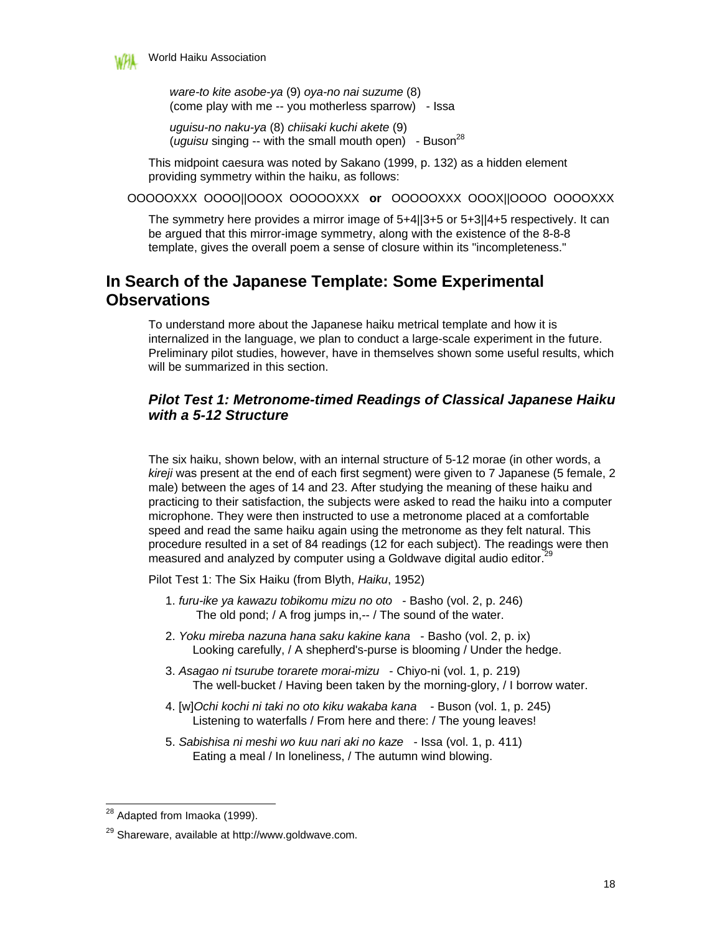

*ware-to kite asobe-ya* (9) *oya-no nai suzume* (8) (come play with me -- you motherless sparrow) - Issa

*uguisu-no naku-ya* (8) *chiisaki kuchi akete* (9) (*uguisu* singing -- with the small mouth open) - Buson<sup>28</sup>

This midpoint caesura was noted by Sakano (1999, p. 132) as a hidden element providing symmetry within the haiku, as follows:

OOOOOXXX OOOO||OOOX OOOOOXXX **or** OOOOOXXX OOOX||OOOO OOOOXXX

The symmetry here provides a mirror image of 5+4||3+5 or 5+3||4+5 respectively. It can be argued that this mirror-image symmetry, along with the existence of the 8-8-8 template, gives the overall poem a sense of closure within its "incompleteness."

# **In Search of the Japanese Template: Some Experimental Observations**

To understand more about the Japanese haiku metrical template and how it is internalized in the language, we plan to conduct a large-scale experiment in the future. Preliminary pilot studies, however, have in themselves shown some useful results, which will be summarized in this section.

### *Pilot Test 1: Metronome-timed Readings of Classical Japanese Haiku with a 5-12 Structure*

The six haiku, shown below, with an internal structure of 5-12 morae (in other words, a *kireji* was present at the end of each first segment) were given to 7 Japanese (5 female, 2 male) between the ages of 14 and 23. After studying the meaning of these haiku and practicing to their satisfaction, the subjects were asked to read the haiku into a computer microphone. They were then instructed to use a metronome placed at a comfortable speed and read the same haiku again using the metronome as they felt natural. This procedure resulted in a set of 84 readings (12 for each subject). The readings were then measured and analyzed by computer using a Goldwave digital audio editor.<sup>2</sup>

Pilot Test 1: The Six Haiku (from Blyth, *Haiku*, 1952)

- 1. *furu-ike ya kawazu tobikomu mizu no oto* Basho (vol. 2, p. 246) The old pond; / A frog jumps in,-- / The sound of the water.
- 2. *Yoku mireba nazuna hana saku kakine kana* Basho (vol. 2, p. ix) Looking carefully, / A shepherd's-purse is blooming / Under the hedge.
- 3. *Asagao ni tsurube torarete morai-mizu* Chiyo-ni (vol. 1, p. 219) The well-bucket / Having been taken by the morning-glory, / I borrow water.
- 4. [w]*Ochi kochi ni taki no oto kiku wakaba kana* Buson (vol. 1, p. 245) Listening to waterfalls / From here and there: / The young leaves!
- 5. *Sabishisa ni meshi wo kuu nari aki no kaze* Issa (vol. 1, p. 411) Eating a meal / In loneliness, / The autumn wind blowing.

<sup>-</sup><sup>28</sup> Adapted from Imaoka (1999).

<sup>29</sup> Shareware, available at http://www.goldwave.com.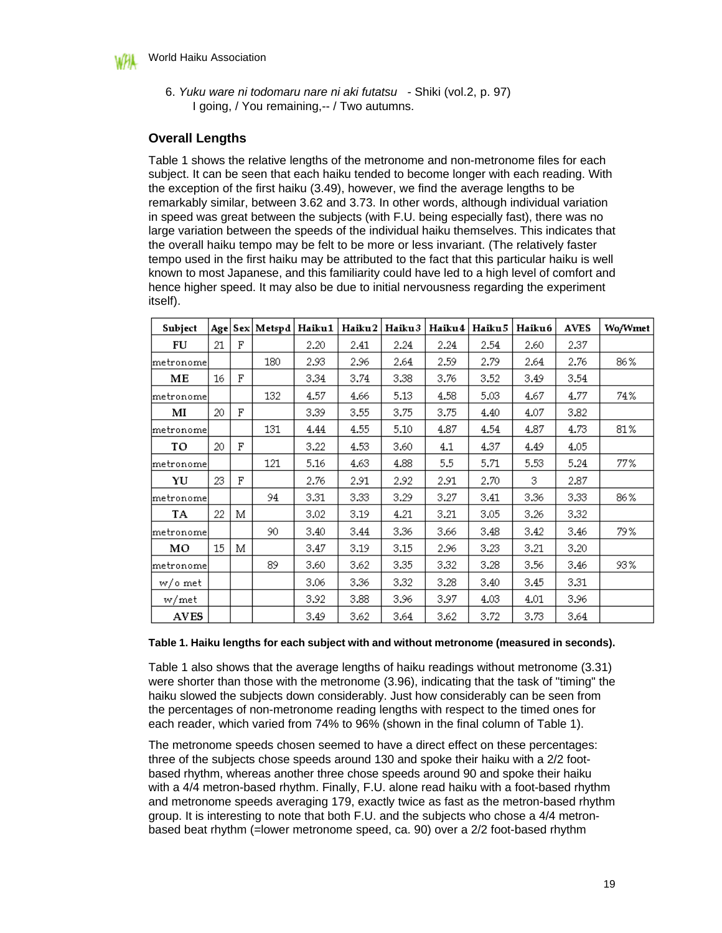

 6. *Yuku ware ni todomaru nare ni aki futatsu* - Shiki (vol.2, p. 97) I going, / You remaining,-- / Two autumns.

### **Overall Lengths**

Table 1 shows the relative lengths of the metronome and non-metronome files for each subject. It can be seen that each haiku tended to become longer with each reading. With the exception of the first haiku (3.49), however, we find the average lengths to be remarkably similar, between 3.62 and 3.73. In other words, although individual variation in speed was great between the subjects (with F.U. being especially fast), there was no large variation between the speeds of the individual haiku themselves. This indicates that the overall haiku tempo may be felt to be more or less invariant. (The relatively faster tempo used in the first haiku may be attributed to the fact that this particular haiku is well known to most Japanese, and this familiarity could have led to a high level of comfort and hence higher speed. It may also be due to initial nervousness regarding the experiment itself).

| Subject     |    |   | Age   Sex   Metspd | Haiku 1 | Haiku2 | Haiku3 | Haiku4 | Haiku 5 | <b>Haiku6</b> | <b>AVES</b> | Wo/Wmet |
|-------------|----|---|--------------------|---------|--------|--------|--------|---------|---------------|-------------|---------|
| FU          | 21 | F |                    | 2.20    | 2.41   | 2.24   | 2.24   | 2.54    | 2.60          | 2.37        |         |
| lmetronomel |    |   | 180                | 2.93    | 2.96   | 2.64   | 2.59   | 2.79    | 2.64          | 2.76        | 86%     |
| MЕ          | 16 | F |                    | 3.34    | 3.74   | 3.38   | 3.76   | 3.52    | 3.49          | 3.54        |         |
| lmetronomel |    |   | 132                | 4.57    | 4.66   | 5.13   | 4.58   | 5.03    | 4.67          | 4.77        | 74%     |
| м           | 20 | F |                    | 3.39    | 3.55   | 3.75   | 3.75   | 4.40    | 4.07          | 3.82        |         |
| metronome   |    |   | 131                | 4.44    | 4.55   | 5.10   | 4.87   | 4.54    | 4.87          | 4.73        | 81%     |
| TO          | 20 | F |                    | 3.22    | 4.53   | 3.60   | 4.1    | 4.37    | 4.49          | 4.05        |         |
| lmetronomel |    |   | 121                | 5.16    | 4.63   | 4.88   | 5.5    | 5.71    | 5.53          | 5.24        | 77%     |
| YU          | 23 | F |                    | 2.76    | 2.91   | 2.92   | 2.91   | 2.70    | 3             | 2.87        |         |
| lmetronomel |    |   | 94                 | 3.31    | 3.33   | 3.29   | 3.27   | 3.41    | 3.36          | 3.33        | 86%     |
| TA          | 22 | М |                    | 3.02    | 3.19   | 4.21   | 3.21   | 3.05    | 3.26          | 3.32        |         |
| metronome   |    |   | 90                 | 3.40    | 3.44   | 3.36   | 3.66   | 3.48    | 3.42          | 3.46        | 79 %    |
| MО          | 15 | М |                    | 3.47    | 3.19   | 3.15   | 2.96   | 3.23    | 3.21          | 3.20        |         |
| metronome   |    |   | 89                 | 3.60    | 3.62   | 3.35   | 3.32   | 3.28    | 3.56          | 3.46        | 93%     |
| w/o met     |    |   |                    | 3.06    | 3.36   | 3.32   | 3.28   | 3.40    | 3.45          | 3.31        |         |
| w/met       |    |   |                    | 3.92    | 3.88   | 3.96   | 3.97   | 4.03    | 4.01          | 3.96        |         |
| <b>AVES</b> |    |   |                    | 3.49    | 3.62   | 3.64   | 3.62   | 3.72    | 3.73          | 3.64        |         |

#### **Table 1. Haiku lengths for each subject with and without metronome (measured in seconds).**

Table 1 also shows that the average lengths of haiku readings without metronome (3.31) were shorter than those with the metronome (3.96), indicating that the task of "timing" the haiku slowed the subjects down considerably. Just how considerably can be seen from the percentages of non-metronome reading lengths with respect to the timed ones for each reader, which varied from 74% to 96% (shown in the final column of Table 1).

The metronome speeds chosen seemed to have a direct effect on these percentages: three of the subjects chose speeds around 130 and spoke their haiku with a 2/2 footbased rhythm, whereas another three chose speeds around 90 and spoke their haiku with a 4/4 metron-based rhythm. Finally, F.U. alone read haiku with a foot-based rhythm and metronome speeds averaging 179, exactly twice as fast as the metron-based rhythm group. It is interesting to note that both F.U. and the subjects who chose a 4/4 metronbased beat rhythm (=lower metronome speed, ca. 90) over a 2/2 foot-based rhythm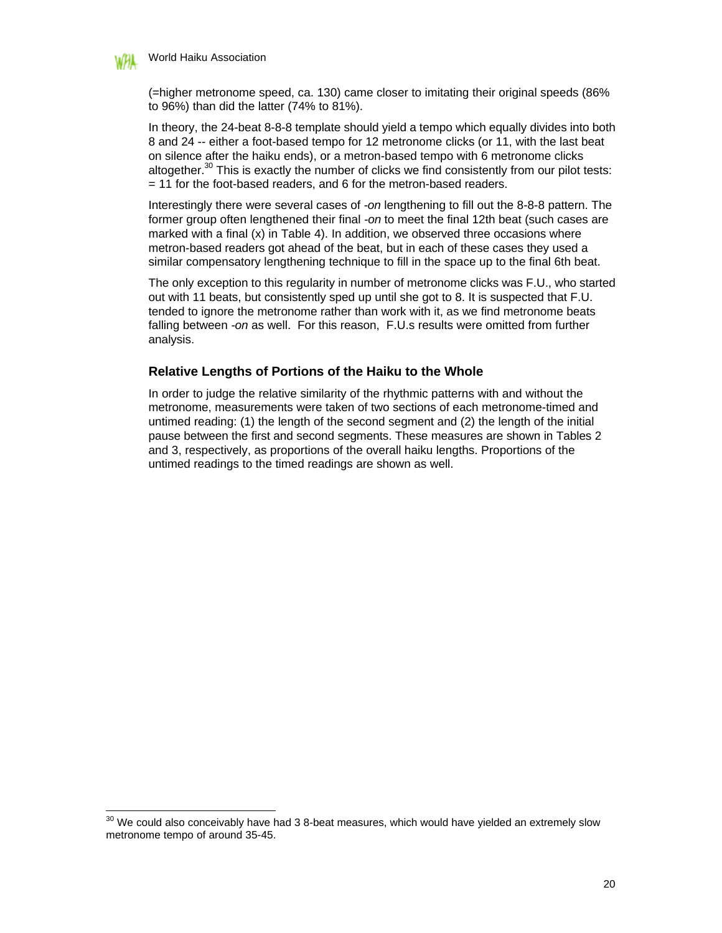

-

(=higher metronome speed, ca. 130) came closer to imitating their original speeds (86% to 96%) than did the latter (74% to 81%).

In theory, the 24-beat 8-8-8 template should yield a tempo which equally divides into both 8 and 24 -- either a foot-based tempo for 12 metronome clicks (or 11, with the last beat on silence after the haiku ends), or a metron-based tempo with 6 metronome clicks altogether.<sup>30</sup> This is exactly the number of clicks we find consistently from our pilot tests: = 11 for the foot-based readers, and 6 for the metron-based readers.

Interestingly there were several cases of *-on* lengthening to fill out the 8-8-8 pattern. The former group often lengthened their final *-on* to meet the final 12th beat (such cases are marked with a final (x) in Table 4). In addition, we observed three occasions where metron-based readers got ahead of the beat, but in each of these cases they used a similar compensatory lengthening technique to fill in the space up to the final 6th beat.

The only exception to this regularity in number of metronome clicks was F.U., who started out with 11 beats, but consistently sped up until she got to 8. It is suspected that F.U. tended to ignore the metronome rather than work with it, as we find metronome beats falling between *-on* as well. For this reason, F.U.s results were omitted from further analysis.

#### **Relative Lengths of Portions of the Haiku to the Whole**

In order to judge the relative similarity of the rhythmic patterns with and without the metronome, measurements were taken of two sections of each metronome-timed and untimed reading: (1) the length of the second segment and (2) the length of the initial pause between the first and second segments. These measures are shown in Tables 2 and 3, respectively, as proportions of the overall haiku lengths. Proportions of the untimed readings to the timed readings are shown as well.

 $30$  We could also conceivably have had 3 8-beat measures, which would have yielded an extremely slow metronome tempo of around 35-45.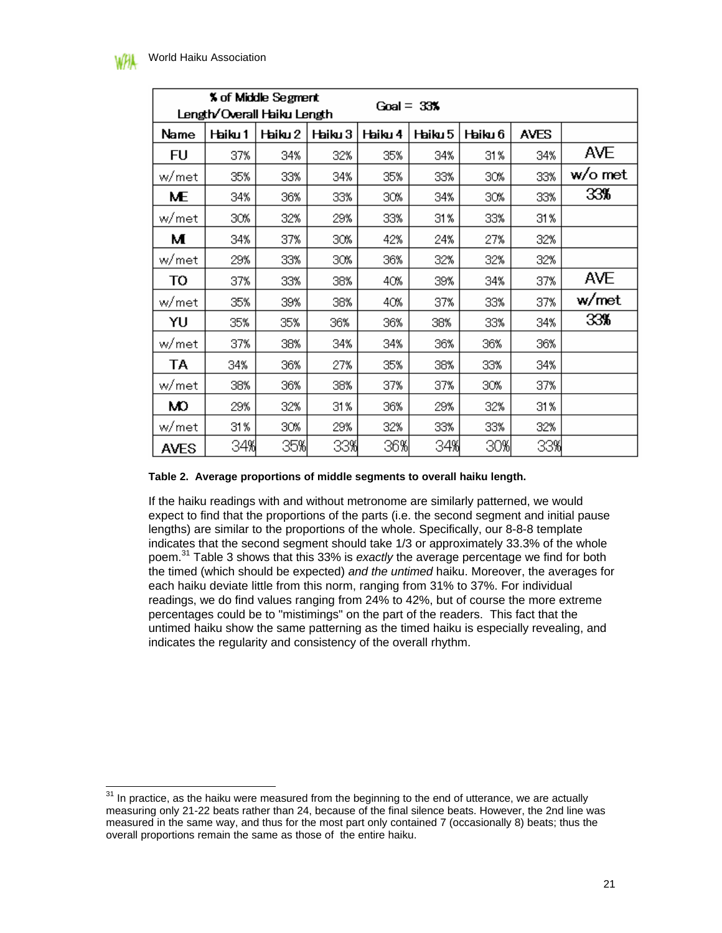-

|             |         | <b>% of Middle Segment</b><br>Length/Overall Haiku Length |         |         |         |         |             |        |
|-------------|---------|-----------------------------------------------------------|---------|---------|---------|---------|-------------|--------|
| Name        | Haiku 1 | Haiku 2                                                   | Haiku 3 | Haiku 4 | Haiku 5 | Haiku 6 | <b>AVES</b> |        |
| FU          | 37%     | 34%                                                       | 32%     | 35%     | 34%     | 31 %    | 34%         | AVE    |
| w/met       | 35%     | 33%                                                       | 34%     | 35%     | 33%     | 30%     | 33%         | w/omet |
| ME          | 34%     | 36%                                                       | 33%     | 30%     | 34%     | 30%     | 33%         | 33%    |
| w/met       | 30%     | 32%                                                       | 29%     | 33%     | 31%     | 33%     | 31%         |        |
| м           | 34%     | 37%                                                       | 30%     | 42%     | 24%     | 27%     | 32%         |        |
| w/met       | 29%     | 33%                                                       | 30%     | 36%     | 32%     | 32%     | 32%         |        |
| то          | 37%     | 33%                                                       | 38%     | 40%     | 39%     | 34%     | 37%         | AVE    |
| w/met       | 35%     | 39%                                                       | 38%     | 40%     | 37%     | 33%     | 37%         | w/met  |
| YU          | 35%     | 35%                                                       | 36%     | 36%     | 38%     | 33%     | 34%         | 33%    |
| w/met       | 37%     | 38%                                                       | 34%     | 34%     | 36%     | 36%     | 36%         |        |
| ТA          | 34%     | 36%                                                       | 27%     | 35%     | 38%     | 33%     | 34%         |        |
| w/met       | 38%     | 36%                                                       | 38%     | 37%     | 37%     | 30%     | 37%         |        |
| Ю           | 29%     | 32%                                                       | 31%     | 36%     | 29%     | 32%     | 31%         |        |
| w/met       | 31%     | 30%                                                       | 29%     | 32%     | 33%     | 33%     | 32%         |        |
| <b>AVES</b> | 34%     | 35%                                                       | 33%     | 36%     | 34%     | 30%     | 33%         |        |

#### **Table 2. Average proportions of middle segments to overall haiku length.**

If the haiku readings with and without metronome are similarly patterned, we would expect to find that the proportions of the parts (i.e. the second segment and initial pause lengths) are similar to the proportions of the whole. Specifically, our 8-8-8 template indicates that the second segment should take 1/3 or approximately 33.3% of the whole poem.<sup>31</sup> Table 3 shows that this 33% is *exactly* the average percentage we find for both the timed (which should be expected) *and the untimed* haiku. Moreover, the averages for each haiku deviate little from this norm, ranging from 31% to 37%. For individual readings, we do find values ranging from 24% to 42%, but of course the more extreme percentages could be to "mistimings" on the part of the readers. This fact that the untimed haiku show the same patterning as the timed haiku is especially revealing, and indicates the regularity and consistency of the overall rhythm.

 $31$  In practice, as the haiku were measured from the beginning to the end of utterance, we are actually measuring only 21-22 beats rather than 24, because of the final silence beats. However, the 2nd line was measured in the same way, and thus for the most part only contained 7 (occasionally 8) beats; thus the overall proportions remain the same as those of the entire haiku.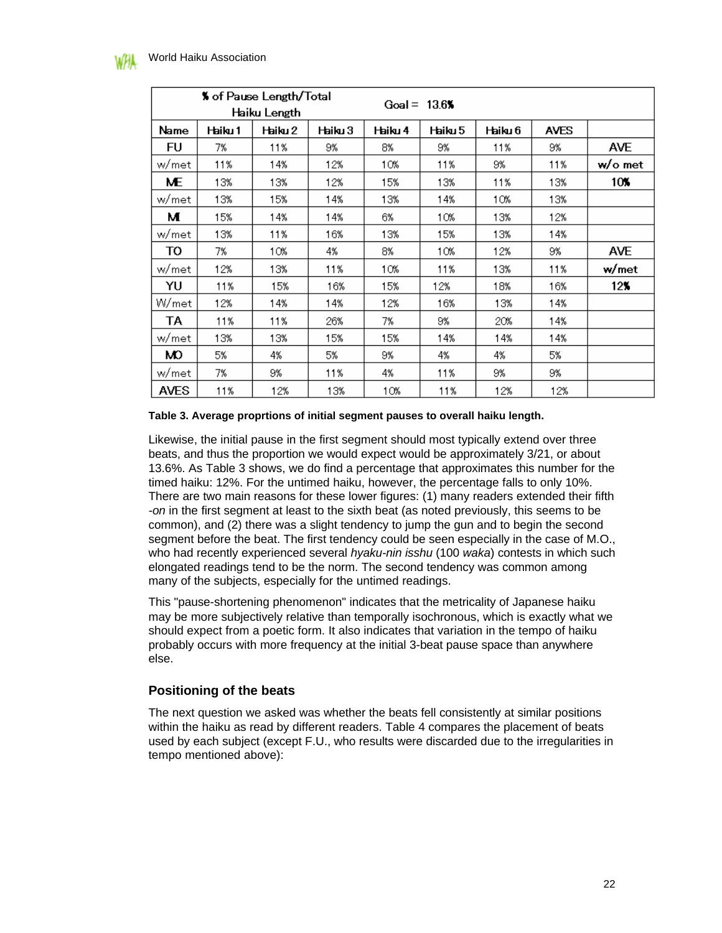|             |         | % of Pause Length/Total<br>Haiku Length |         |         | Goal = $13.6$ |         |             |            |
|-------------|---------|-----------------------------------------|---------|---------|---------------|---------|-------------|------------|
| Name        | Haiku 1 | Haiku 2                                 | Haiku 3 | Haiku 4 | Haiku 5       | Haiku 6 | <b>AVES</b> |            |
| FU          | 7%      | 11%                                     | 9%      | 8%      | 9%            | 11%     | 9%          | <b>AVE</b> |
| w/met       | 11%     | 14%                                     | 12%     | 10%     | 11%           | 9%      | 11%         | w/omet     |
| ME          | 13%     | 13%                                     | 12%     | 15%     | 13%           | 11%     | 13%         | 10%        |
| w/met       | 13%     | 15%                                     | 14%     | 13%     | 14%           | 10%     | 13%         |            |
| м           | 15%     | 14%                                     | 14%     | 6%      | 10%           | 13%     | 12%         |            |
| w/met       | 13%     | 11%                                     | 16%     | 13%     | 15%           | 13%     | 14%         |            |
| TO          | 7%      | 10%                                     | 4%      | 8%      | 10%           | 12%     | 9%          | <b>AVE</b> |
| w/met       | 12%     | 13%                                     | 11%     | 10%     | 11%           | 13%     | 11%         | w/met      |
| YU          | 11%     | 15%                                     | 16%     | 15%     | 12%           | 18%     | 16%         | 12%        |
| W/met       | 12%     | 14%                                     | 14%     | 12%     | 16%           | 13%     | 14%         |            |
| ТA          | 11%     | 11%                                     | 26%     | 7%      | 9%            | 20%     | 14%         |            |
| w/met       | 13%     | 13%                                     | 15%     | 15%     | 14%           | 14%     | 14%         |            |
| Ю           | 5%      | 4%                                      | 5%      | 9%      | 4%            | 4%      | 5%          |            |
| w/met       | 7%      | 9%                                      | 11%     | 4%      | 11%           | 9%      | 9%          |            |
| <b>AVES</b> | 11%     | 12%                                     | 13%     | 10%     | 11%           | 12%     | 12%         |            |

#### **Table 3. Average proprtions of initial segment pauses to overall haiku length.**

Likewise, the initial pause in the first segment should most typically extend over three beats, and thus the proportion we would expect would be approximately 3/21, or about 13.6%. As Table 3 shows, we do find a percentage that approximates this number for the timed haiku: 12%. For the untimed haiku, however, the percentage falls to only 10%. There are two main reasons for these lower figures: (1) many readers extended their fifth *-on* in the first segment at least to the sixth beat (as noted previously, this seems to be common), and (2) there was a slight tendency to jump the gun and to begin the second segment before the beat. The first tendency could be seen especially in the case of M.O., who had recently experienced several *hyaku-nin isshu* (100 *waka*) contests in which such elongated readings tend to be the norm. The second tendency was common among many of the subjects, especially for the untimed readings.

This "pause-shortening phenomenon" indicates that the metricality of Japanese haiku may be more subjectively relative than temporally isochronous, which is exactly what we should expect from a poetic form. It also indicates that variation in the tempo of haiku probably occurs with more frequency at the initial 3-beat pause space than anywhere else.

#### **Positioning of the beats**

The next question we asked was whether the beats fell consistently at similar positions within the haiku as read by different readers. Table 4 compares the placement of beats used by each subject (except F.U., who results were discarded due to the irregularities in tempo mentioned above):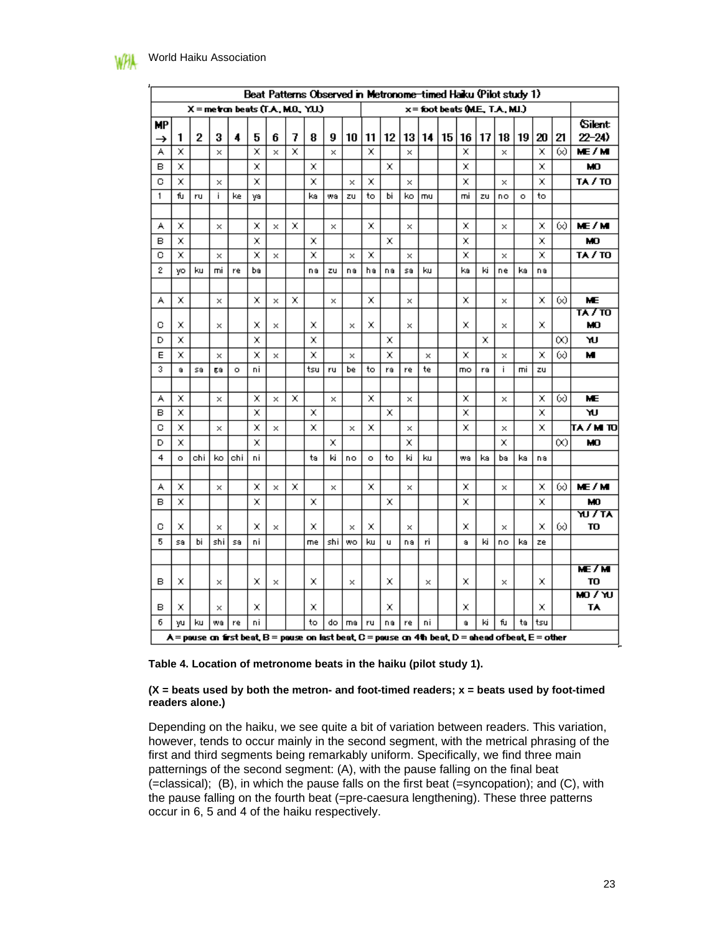|                |         |     |          |         |    |          |   | Beat Patterns Observed in Metronome-timed Haiku (Pilot study 1)                                      |          |           |         |    |          |    |    |                                  |     |          |         |     |    |                            |
|----------------|---------|-----|----------|---------|----|----------|---|------------------------------------------------------------------------------------------------------|----------|-----------|---------|----|----------|----|----|----------------------------------|-----|----------|---------|-----|----|----------------------------|
|                |         |     |          |         |    |          |   | $X =$ metron beats $(T.A., M.O., Y.U.)$                                                              |          |           |         |    |          |    |    | x = foot beats (M.E., T.A., MI.) |     |          |         |     |    |                            |
| <b>MP</b><br>→ | 1       | 2   | 3        | 4       | 5  | 6        | 7 | 8                                                                                                    | 9        | 10        | 11      | 12 | 13       | 14 | 15 | 16                               | 17  | 18       | 19      | 20  | 21 | <b>Silent</b><br>$22 - 24$ |
| А              | ×       |     | ×        |         | ×  | $\times$ | × |                                                                                                      | $\times$ |           | ×       |    | $\times$ |    |    | ×                                |     | $\times$ |         | ×   | ∞  | ME/M                       |
| в              | x       |     |          |         | ×  |          |   | x                                                                                                    |          |           |         | x  |          |    |    | x                                |     |          |         | x   |    | MO.                        |
| ō              | ×       |     | ×        |         | ×  |          |   | x                                                                                                    |          | ×         | ×       |    | ×        |    |    | x                                |     | $\times$ |         | x   |    | <b>TA / TO</b>             |
| 1              | fu      | ru  | i.       | ke      | ya |          |   | ka                                                                                                   | wa       | zu        | to      | Ьi | ko       | mu |    | mi                               | zu  | no       | $\circ$ | to  |    |                            |
|                |         |     |          |         |    |          |   |                                                                                                      |          |           |         |    |          |    |    |                                  |     |          |         |     |    |                            |
| А              | x       |     | ×        |         | x  | ×        | x |                                                                                                      | $\times$ |           | x       |    | ×        |    |    | x                                |     | ×        |         | x   | ∞  | ME/M                       |
| в              | x       |     |          |         | ×  |          |   | x                                                                                                    |          |           |         | x  |          |    |    | x                                |     |          |         | x   |    | МO                         |
| с              | ×       |     | ×        |         | ×  | ×        |   | ×                                                                                                    |          | ×         | ×       |    | ×        |    |    | x                                |     | ×        |         | x   |    | TA / TO                    |
| 2              | yo      | ku  | mi       | re      | bэ |          |   | nа                                                                                                   | zu       | nа        | hэ      | nа | S9       | ku |    | ka                               | ki  | ne       | ka      | nа  |    |                            |
|                |         |     |          |         |    |          |   |                                                                                                      |          |           |         |    |          |    |    |                                  |     |          |         |     |    |                            |
| А              | ×       |     | ×        |         | ×  | ×        | × |                                                                                                      | ×        |           | ×       |    | ×        |    |    | ×                                |     | ×        |         | ×   | ∞  | <b>ME</b>                  |
|                |         |     |          |         |    |          |   |                                                                                                      |          |           |         |    |          |    |    |                                  |     |          |         |     |    | <b>TA 7 TO</b>             |
| с              | x       |     | ×        |         | x  | ×        |   | x                                                                                                    |          | ×         | ×       |    | ×        |    |    | x                                |     | ×        |         | x   |    | МO                         |
| D              | x       |     |          |         | x  |          |   | x                                                                                                    |          |           |         | x  |          |    |    |                                  | x   |          |         |     | ∞  | ነሀ                         |
| E<br>3         | x       |     | ×        |         | x  | ×        |   | x                                                                                                    |          | ×         |         | x  |          | ×  |    | x                                |     | ×<br>i   |         | x   | 60 | м                          |
|                | a       | sa  | gа       | $\circ$ | ni |          |   | tsu                                                                                                  | ru       | be        | to      | ra | re       | te |    | mo                               | ra  |          | mi      | zu  |    |                            |
| А              | x       |     | $\times$ |         | x  | $\times$ | × |                                                                                                      | ×        |           | x       |    | ×        |    |    | x                                |     | ×        |         | x   | ∞  | ME                         |
| в              | ×       |     |          |         | ×  |          |   | ×                                                                                                    |          |           |         | x  |          |    |    | x                                |     |          |         | ×   |    | ٦U                         |
| с              | x       |     | $\times$ |         | x  | $\times$ |   | x                                                                                                    |          | ×         | ×       |    | ×        |    |    | x                                |     | ×        |         | x   |    | π∧ / m το                  |
| D              | ×       |     |          |         | ×  |          |   |                                                                                                      | ×        |           |         |    | x        |    |    |                                  |     | x        |         |     | 60 | MО                         |
| 4              | $\circ$ | chi | ko       | chi     | ni |          |   | ta                                                                                                   | ki       | no        | $\circ$ | to | ki       | ku |    | wa                               | ka. | bа       | kal     | nа  |    |                            |
|                |         |     |          |         |    |          |   |                                                                                                      |          |           |         |    |          |    |    |                                  |     |          |         |     |    |                            |
| А              | x       |     | ×        |         | ×  | ×        | × |                                                                                                      | ×        |           | ×       |    | ×        |    |    | x                                |     | ×        |         | x   | 60 | ME/M                       |
| в              | x       |     |          |         | ×  |          |   | x                                                                                                    |          |           |         | x  |          |    |    | x                                |     |          |         | x   |    | MO                         |
|                |         |     |          |         |    |          |   |                                                                                                      |          |           |         |    |          |    |    |                                  |     |          |         |     |    | ᇄᅎᅚ                        |
| с              | x       |     | ×        |         | x  | ×        |   | x                                                                                                    |          | ×         | x       |    | ×        |    |    | x                                |     | ×        |         | x   | ∞  | TO                         |
| 5              | S9      | Ыi  | shi      | sa      | ni |          |   | me                                                                                                   | shi      | <b>WO</b> | ku      | u  | nа       | ۲i |    | a                                | ki  | no       | ka      | ze  |    |                            |
|                |         |     |          |         |    |          |   |                                                                                                      |          |           |         |    |          |    |    |                                  |     |          |         |     |    |                            |
| в              | x       |     | ×        |         | x  | ×        |   | x                                                                                                    |          | ×         |         | x  |          | ×  |    | x                                |     | ×        |         | x   |    | ME/M<br>TO                 |
|                |         |     |          |         |    |          |   |                                                                                                      |          |           |         |    |          |    |    |                                  |     |          |         |     |    | $W \setminus 0$ M          |
| в              | x       |     | ×        |         | x  |          |   | x                                                                                                    |          |           |         | x  |          |    |    | x                                |     |          |         | x   |    | TA                         |
| б              | yu      | ku  | wa       | re      | ni |          |   | to                                                                                                   | do       | ma        | ru      | nа | re       | ni |    | å                                | ki  | fu       | ta      | tsu |    |                            |
|                |         |     |          |         |    |          |   | A = pause on first beat, B = pause on last beat, C = pause on 4th beat, D = ahead of beat, E = other |          |           |         |    |          |    |    |                                  |     |          |         |     |    |                            |

**Table 4. Location of metronome beats in the haiku (pilot study 1).**

#### **(X = beats used by both the metron- and foot-timed readers; x = beats used by foot-timed readers alone.)**

Depending on the haiku, we see quite a bit of variation between readers. This variation, however, tends to occur mainly in the second segment, with the metrical phrasing of the first and third segments being remarkably uniform. Specifically, we find three main patternings of the second segment: (A), with the pause falling on the final beat (=classical); (B), in which the pause falls on the first beat (=syncopation); and (C), with the pause falling on the fourth beat (=pre-caesura lengthening). These three patterns occur in 6, 5 and 4 of the haiku respectively.

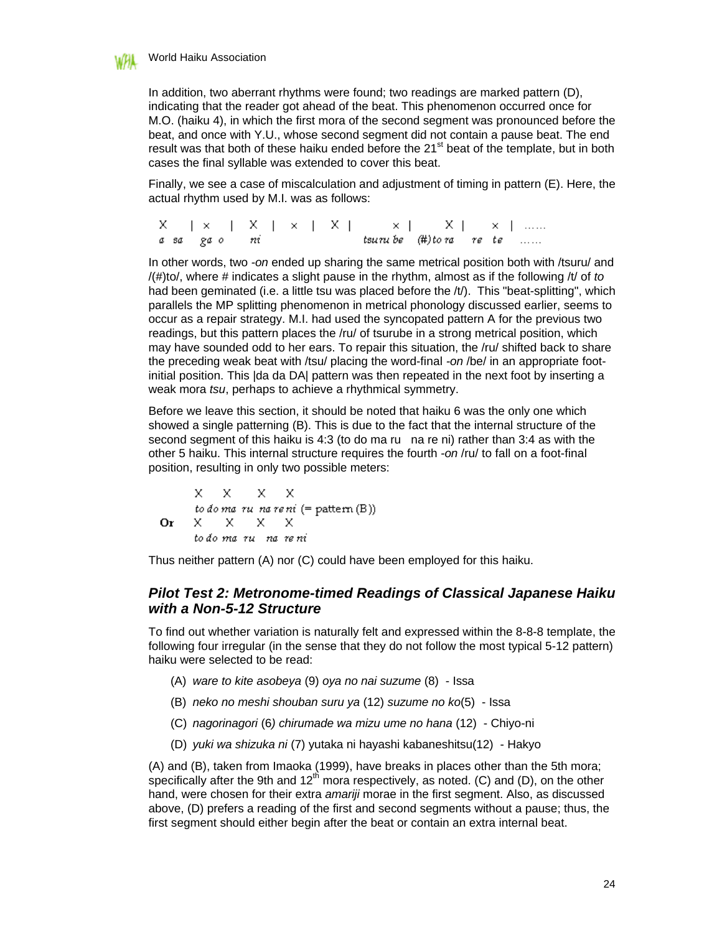

In addition, two aberrant rhythms were found; two readings are marked pattern (D), indicating that the reader got ahead of the beat. This phenomenon occurred once for M.O. (haiku 4), in which the first mora of the second segment was pronounced before the beat, and once with Y.U., whose second segment did not contain a pause beat. The end result was that both of these haiku ended before the  $21<sup>st</sup>$  beat of the template, but in both cases the final syllable was extended to cover this beat.

Finally, we see a case of miscalculation and adjustment of timing in pattern (E). Here, the actual rhythm used by M.I. was as follows:

x  $a$  sa

In other words, two *-on* ended up sharing the same metrical position both with /tsuru/ and /(#)to/, where # indicates a slight pause in the rhythm, almost as if the following /t/ of *to* had been geminated (i.e. a little tsu was placed before the /t/). This "beat-splitting", which parallels the MP splitting phenomenon in metrical phonology discussed earlier, seems to occur as a repair strategy. M.I. had used the syncopated pattern A for the previous two readings, but this pattern places the /ru/ of tsurube in a strong metrical position, which may have sounded odd to her ears. To repair this situation, the /ru/ shifted back to share the preceding weak beat with /tsu/ placing the word-final *-on* /be/ in an appropriate footinitial position. This |da da DA| pattern was then repeated in the next foot by inserting a weak mora *tsu*, perhaps to achieve a rhythmical symmetry.

Before we leave this section, it should be noted that haiku 6 was the only one which showed a single patterning (B). This is due to the fact that the internal structure of the second segment of this haiku is 4:3 (to do ma ru na re ni) rather than 3:4 as with the other 5 haiku. This internal structure requires the fourth *-on* /ru/ to fall on a foot-final position, resulting in only two possible meters:

X X Х X. to do ma ru na reni (= pattern  $(B)$ ) Or x x X. Х to do ma ru na reni

Thus neither pattern (A) nor (C) could have been employed for this haiku.

### *Pilot Test 2: Metronome-timed Readings of Classical Japanese Haiku with a Non-5-12 Structure*

To find out whether variation is naturally felt and expressed within the 8-8-8 template, the following four irregular (in the sense that they do not follow the most typical 5-12 pattern) haiku were selected to be read:

- (A) *ware to kite asobeya* (9) *oya no nai suzume* (8) Issa
- (B) *neko no meshi shouban suru ya* (12) *suzume no ko*(5) Issa
- (C) *nagorinagori* (6*) chirumade wa mizu ume no hana* (12) Chiyo-ni
- (D) *yuki wa shizuka ni* (7) yutaka ni hayashi kabaneshitsu(12) Hakyo

(A) and (B), taken from Imaoka (1999), have breaks in places other than the 5th mora; specifically after the 9th and  $12<sup>th</sup>$  mora respectively, as noted. (C) and (D), on the other hand, were chosen for their extra *amariji* morae in the first segment. Also, as discussed above, (D) prefers a reading of the first and second segments without a pause; thus, the first segment should either begin after the beat or contain an extra internal beat.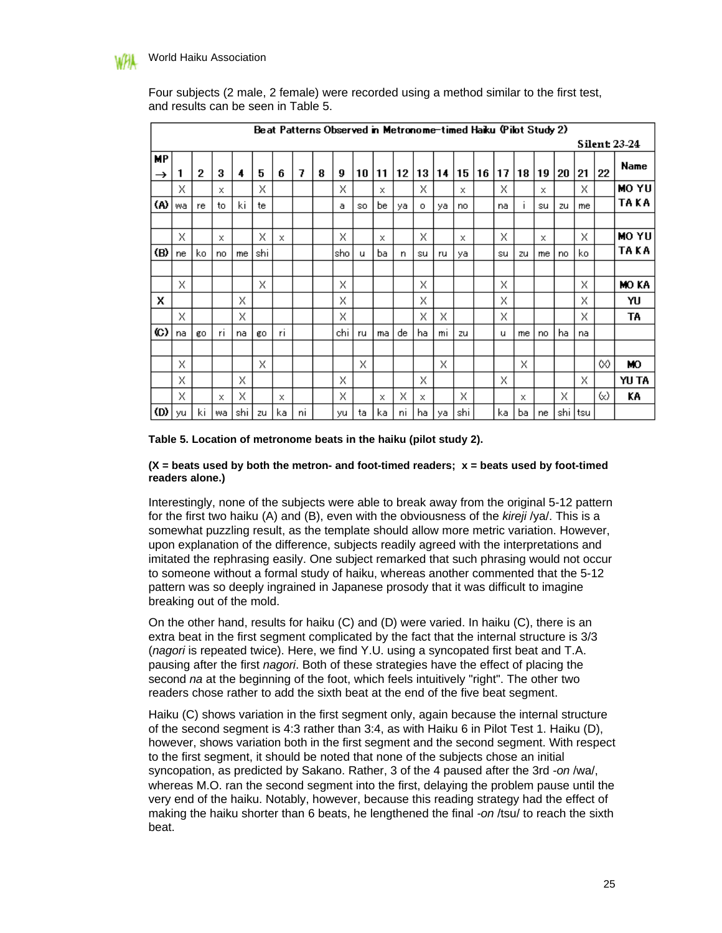|                     | Beat Patterns Observed in Metronome-timed Haiku (Pilot Study 2) |     |    |     |     |     |    |   |     |             |     |    |         |    |     |    |    |              |    |     |      |    |                     |
|---------------------|-----------------------------------------------------------------|-----|----|-----|-----|-----|----|---|-----|-------------|-----|----|---------|----|-----|----|----|--------------|----|-----|------|----|---------------------|
|                     |                                                                 |     |    |     |     |     |    |   |     |             |     |    |         |    |     |    |    |              |    |     |      |    | <b>Silent 23-24</b> |
| МP<br>$\rightarrow$ | 1                                                               | 2   | 3  | 4   | 5   | 6   | 7  | 8 | 9   | 10          | 11  | 12 | 13      | 14 | 15  | 16 | 17 | 18           | 19 | 20  | 21   | 22 | Name                |
|                     | х                                                               |     | x  |     | X   |     |    |   | х   |             | x   |    | x       |    | x   |    | X  |              | x  |     | x    |    | MO YU               |
| (A)                 | wa                                                              | re  | to | ki  | te  |     |    |   | a   | SO.         | be. | ya | $\circ$ | ya | no  |    | na | $\mathbf{I}$ | su | zu  | me   |    | TA KA               |
|                     |                                                                 |     |    |     |     |     |    |   |     |             |     |    |         |    |     |    |    |              |    |     |      |    |                     |
|                     | Х                                                               |     | x  |     | X   | ×   |    |   | X   |             | x   |    | X       |    | x   |    | X  |              | x  |     | X    |    | <b>MO YU</b>        |
| (B)                 | ne                                                              | ko. | no | me  | shi |     |    |   | sho | $\mathbf u$ | bа  | n  | su      | ru | ya  |    | su | zu           | me | no  | ko   |    | TA KA               |
|                     |                                                                 |     |    |     |     |     |    |   |     |             |     |    |         |    |     |    |    |              |    |     |      |    |                     |
|                     | Х                                                               |     |    |     | X   |     |    |   | X   |             |     |    | Х       |    |     |    | x  |              |    |     | X    |    | MO KA               |
| x                   |                                                                 |     |    | Х   |     |     |    |   | X   |             |     |    | X       |    |     |    | х  |              |    |     | X    |    | YU                  |
|                     | Х                                                               |     |    | X   |     |     |    |   | X   |             |     |    | X       | X  |     |    | X  |              |    |     | Х    |    | TA                  |
| $\circ$             | na                                                              | go. | r١ | na  | go. | ri. |    |   | chi | ru          | ma  | de | ha      | mı | zu  |    | u  | me           | no | ha. | na   |    |                     |
|                     |                                                                 |     |    |     |     |     |    |   |     |             |     |    |         |    |     |    |    |              |    |     |      |    |                     |
|                     | X                                                               |     |    |     | Х   |     |    |   |     | X           |     |    |         | X  |     |    |    | Х            |    |     |      | ∞  | ю                   |
|                     | х                                                               |     |    | Х   |     |     |    |   | X   |             |     |    | X       |    |     |    | х  |              |    |     | Х    |    | YU TA               |
|                     | х                                                               |     | X  | X   |     | X   |    |   | X   |             | x   | Χ  | x       |    | X   |    |    | x            |    | X   |      | ∞  | ΚA                  |
| (D)                 | yu                                                              | ki  | wa | shi | zu  | ka  | ni |   | yu  | ta          | ka. | nı | ha      | ya | shi |    | ka | bа           | ne | shi | Itsu |    |                     |

Four subjects (2 male, 2 female) were recorded using a method similar to the first test, and results can be seen in Table 5.

**Table 5. Location of metronome beats in the haiku (pilot study 2).**

#### $(X = \text{beats used by both the metron- and foot-time}d \text{ reads}; X = \text{beats used by foot-time}d$ **readers alone.)**

Interestingly, none of the subjects were able to break away from the original 5-12 pattern for the first two haiku (A) and (B), even with the obviousness of the *kireji* /ya/. This is a somewhat puzzling result, as the template should allow more metric variation. However, upon explanation of the difference, subjects readily agreed with the interpretations and imitated the rephrasing easily. One subject remarked that such phrasing would not occur to someone without a formal study of haiku, whereas another commented that the 5-12 pattern was so deeply ingrained in Japanese prosody that it was difficult to imagine breaking out of the mold.

On the other hand, results for haiku (C) and (D) were varied. In haiku (C), there is an extra beat in the first segment complicated by the fact that the internal structure is 3/3 (*nagori* is repeated twice). Here, we find Y.U. using a syncopated first beat and T.A. pausing after the first *nagori*. Both of these strategies have the effect of placing the second *na* at the beginning of the foot, which feels intuitively "right". The other two readers chose rather to add the sixth beat at the end of the five beat segment.

Haiku (C) shows variation in the first segment only, again because the internal structure of the second segment is 4:3 rather than 3:4, as with Haiku 6 in Pilot Test 1. Haiku (D), however, shows variation both in the first segment and the second segment. With respect to the first segment, it should be noted that none of the subjects chose an initial syncopation, as predicted by Sakano. Rather, 3 of the 4 paused after the 3rd *-on* /wa/, whereas M.O. ran the second segment into the first, delaying the problem pause until the very end of the haiku. Notably, however, because this reading strategy had the effect of making the haiku shorter than 6 beats, he lengthened the final *-on* /tsu/ to reach the sixth beat.

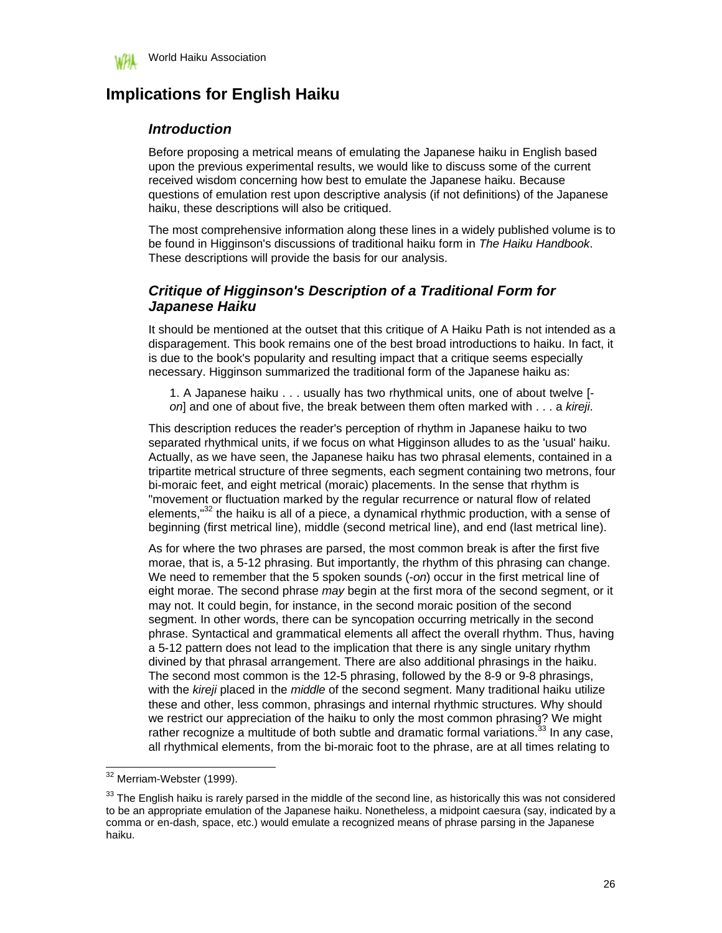

# **Implications for English Haiku**

### *Introduction*

Before proposing a metrical means of emulating the Japanese haiku in English based upon the previous experimental results, we would like to discuss some of the current received wisdom concerning how best to emulate the Japanese haiku. Because questions of emulation rest upon descriptive analysis (if not definitions) of the Japanese haiku, these descriptions will also be critiqued.

The most comprehensive information along these lines in a widely published volume is to be found in Higginson's discussions of traditional haiku form in *The Haiku Handbook*. These descriptions will provide the basis for our analysis.

### *Critique of Higginson's Description of a Traditional Form for Japanese Haiku*

It should be mentioned at the outset that this critique of A Haiku Path is not intended as a disparagement. This book remains one of the best broad introductions to haiku. In fact, it is due to the book's popularity and resulting impact that a critique seems especially necessary. Higginson summarized the traditional form of the Japanese haiku as:

1. A Japanese haiku . . . usually has two rhythmical units, one of about twelve [ *on*] and one of about five, the break between them often marked with . . . a *kireji*.

This description reduces the reader's perception of rhythm in Japanese haiku to two separated rhythmical units, if we focus on what Higginson alludes to as the 'usual' haiku. Actually, as we have seen, the Japanese haiku has two phrasal elements, contained in a tripartite metrical structure of three segments, each segment containing two metrons, four bi-moraic feet, and eight metrical (moraic) placements. In the sense that rhythm is "movement or fluctuation marked by the regular recurrence or natural flow of related elements."<sup>32</sup> the haiku is all of a piece, a dynamical rhythmic production, with a sense of beginning (first metrical line), middle (second metrical line), and end (last metrical line).

As for where the two phrases are parsed, the most common break is after the first five morae, that is, a 5-12 phrasing. But importantly, the rhythm of this phrasing can change. We need to remember that the 5 spoken sounds (-*on*) occur in the first metrical line of eight morae. The second phrase *may* begin at the first mora of the second segment, or it may not. It could begin, for instance, in the second moraic position of the second segment. In other words, there can be syncopation occurring metrically in the second phrase. Syntactical and grammatical elements all affect the overall rhythm. Thus, having a 5-12 pattern does not lead to the implication that there is any single unitary rhythm divined by that phrasal arrangement. There are also additional phrasings in the haiku. The second most common is the 12-5 phrasing, followed by the 8-9 or 9-8 phrasings, with the *kireji* placed in the *middle* of the second segment. Many traditional haiku utilize these and other, less common, phrasings and internal rhythmic structures. Why should we restrict our appreciation of the haiku to only the most common phrasing? We might rather recognize a multitude of both subtle and dramatic formal variations.<sup>33</sup> In any case, rather recognize a multitude of both subtle and dramatic formal variations. $3$ all rhythmical elements, from the bi-moraic foot to the phrase, are at all times relating to

<sup>&</sup>lt;sup>32</sup> Merriam-Webster (1999).

 $33$  The English haiku is rarely parsed in the middle of the second line, as historically this was not considered to be an appropriate emulation of the Japanese haiku. Nonetheless, a midpoint caesura (say, indicated by a comma or en-dash, space, etc.) would emulate a recognized means of phrase parsing in the Japanese haiku.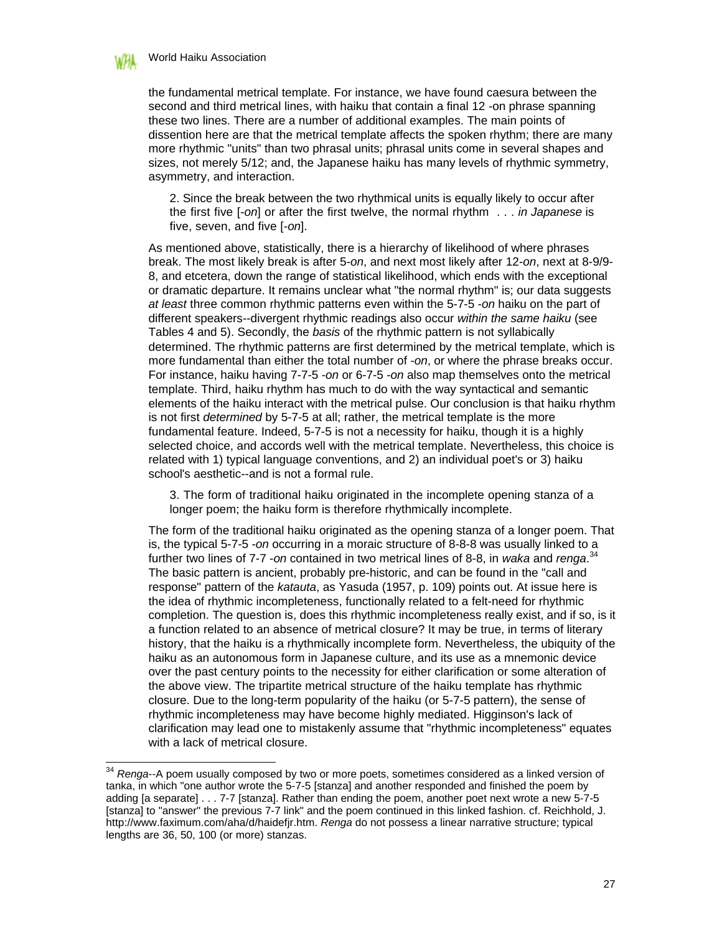

 $\overline{\phantom{a}}$ 

the fundamental metrical template. For instance, we have found caesura between the second and third metrical lines, with haiku that contain a final 12 -on phrase spanning these two lines. There are a number of additional examples. The main points of dissention here are that the metrical template affects the spoken rhythm; there are many more rhythmic "units" than two phrasal units; phrasal units come in several shapes and sizes, not merely 5/12; and, the Japanese haiku has many levels of rhythmic symmetry, asymmetry, and interaction.

2. Since the break between the two rhythmical units is equally likely to occur after the first five [-*on*] or after the first twelve, the normal rhythm . . . *in Japanese* is five, seven, and five [-*on*].

As mentioned above, statistically, there is a hierarchy of likelihood of where phrases break. The most likely break is after 5-*on*, and next most likely after 12-*on*, next at 8-9/9- 8, and etcetera, down the range of statistical likelihood, which ends with the exceptional or dramatic departure. It remains unclear what "the normal rhythm" is; our data suggests *at least* three common rhythmic patterns even within the 5-7-5 -*on* haiku on the part of different speakers--divergent rhythmic readings also occur *within the same haiku* (see Tables 4 and 5). Secondly, the *basis* of the rhythmic pattern is not syllabically determined. The rhythmic patterns are first determined by the metrical template, which is more fundamental than either the total number of -*on*, or where the phrase breaks occur. For instance, haiku having 7-7-5 -*on* or 6-7-5 -*on* also map themselves onto the metrical template. Third, haiku rhythm has much to do with the way syntactical and semantic elements of the haiku interact with the metrical pulse. Our conclusion is that haiku rhythm is not first *determined* by 5-7-5 at all; rather, the metrical template is the more fundamental feature. Indeed, 5-7-5 is not a necessity for haiku, though it is a highly selected choice, and accords well with the metrical template. Nevertheless, this choice is related with 1) typical language conventions, and 2) an individual poet's or 3) haiku school's aesthetic--and is not a formal rule.

3. The form of traditional haiku originated in the incomplete opening stanza of a longer poem; the haiku form is therefore rhythmically incomplete.

The form of the traditional haiku originated as the opening stanza of a longer poem. That is, the typical 5-7-5 -*on* occurring in a moraic structure of 8-8-8 was usually linked to a further two lines of 7-7 -*on* contained in two metrical lines of 8-8, in *waka* and *renga*. 34 The basic pattern is ancient, probably pre-historic, and can be found in the "call and response" pattern of the *katauta*, as Yasuda (1957, p. 109) points out. At issue here is the idea of rhythmic incompleteness, functionally related to a felt-need for rhythmic completion. The question is, does this rhythmic incompleteness really exist, and if so, is it a function related to an absence of metrical closure? It may be true, in terms of literary history, that the haiku is a rhythmically incomplete form. Nevertheless, the ubiquity of the haiku as an autonomous form in Japanese culture, and its use as a mnemonic device over the past century points to the necessity for either clarification or some alteration of the above view. The tripartite metrical structure of the haiku template has rhythmic closure. Due to the long-term popularity of the haiku (or 5-7-5 pattern), the sense of rhythmic incompleteness may have become highly mediated. Higginson's lack of clarification may lead one to mistakenly assume that "rhythmic incompleteness" equates with a lack of metrical closure.

<sup>34</sup> *Renga*--A poem usually composed by two or more poets, sometimes considered as a linked version of tanka, in which "one author wrote the 5-7-5 [stanza] and another responded and finished the poem by adding [a separate] . . . 7-7 [stanza]. Rather than ending the poem, another poet next wrote a new 5-7-5 [stanza] to "answer" the previous 7-7 link" and the poem continued in this linked fashion. cf. Reichhold, J. http://www.faximum.com/aha/d/haidefjr.htm. *Renga* do not possess a linear narrative structure; typical lengths are 36, 50, 100 (or more) stanzas.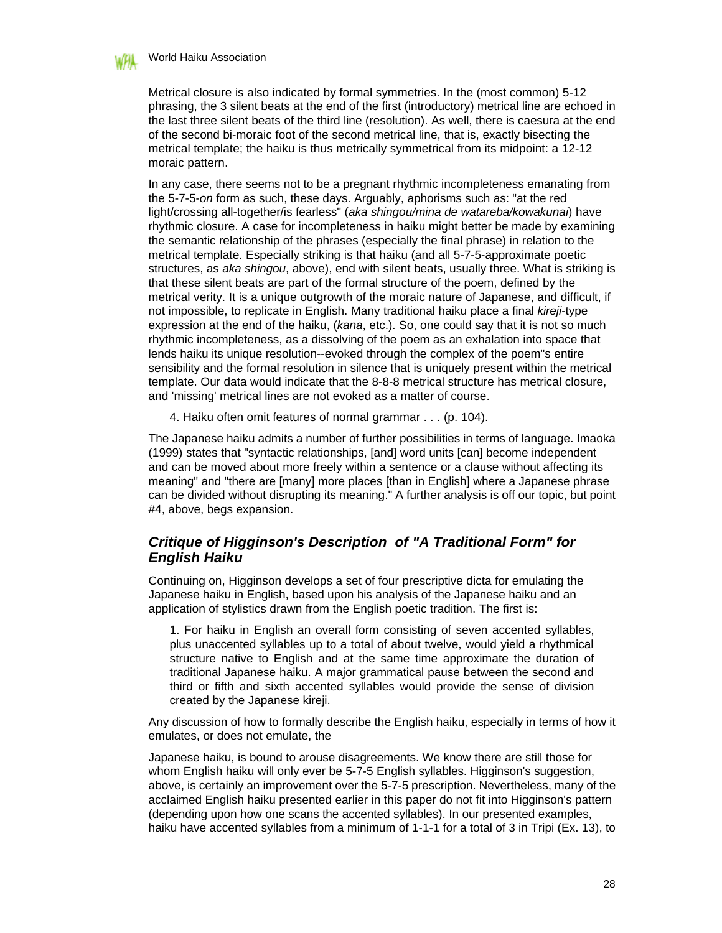#### World Haiku Association

Metrical closure is also indicated by formal symmetries. In the (most common) 5-12 phrasing, the 3 silent beats at the end of the first (introductory) metrical line are echoed in the last three silent beats of the third line (resolution). As well, there is caesura at the end of the second bi-moraic foot of the second metrical line, that is, exactly bisecting the metrical template; the haiku is thus metrically symmetrical from its midpoint: a 12-12 moraic pattern.

In any case, there seems not to be a pregnant rhythmic incompleteness emanating from the 5-7-5-*on* form as such, these days. Arguably, aphorisms such as: "at the red light/crossing all-together/is fearless" (*aka shingou/mina de watareba/kowakunai*) have rhythmic closure. A case for incompleteness in haiku might better be made by examining the semantic relationship of the phrases (especially the final phrase) in relation to the metrical template. Especially striking is that haiku (and all 5-7-5-approximate poetic structures, as *aka shingou*, above), end with silent beats, usually three. What is striking is that these silent beats are part of the formal structure of the poem, defined by the metrical verity. It is a unique outgrowth of the moraic nature of Japanese, and difficult, if not impossible, to replicate in English. Many traditional haiku place a final *kireji*-type expression at the end of the haiku, (*kana*, etc.). So, one could say that it is not so much rhythmic incompleteness, as a dissolving of the poem as an exhalation into space that lends haiku its unique resolution--evoked through the complex of the poem"s entire sensibility and the formal resolution in silence that is uniquely present within the metrical template. Our data would indicate that the 8-8-8 metrical structure has metrical closure, and 'missing' metrical lines are not evoked as a matter of course.

4. Haiku often omit features of normal grammar . . . (p. 104).

The Japanese haiku admits a number of further possibilities in terms of language. Imaoka (1999) states that "syntactic relationships, [and] word units [can] become independent and can be moved about more freely within a sentence or a clause without affecting its meaning" and "there are [many] more places [than in English] where a Japanese phrase can be divided without disrupting its meaning." A further analysis is off our topic, but point #4, above, begs expansion.

### *Critique of Higginson's Description of "A Traditional Form" for English Haiku*

Continuing on, Higginson develops a set of four prescriptive dicta for emulating the Japanese haiku in English, based upon his analysis of the Japanese haiku and an application of stylistics drawn from the English poetic tradition. The first is:

1. For haiku in English an overall form consisting of seven accented syllables, plus unaccented syllables up to a total of about twelve, would yield a rhythmical structure native to English and at the same time approximate the duration of traditional Japanese haiku. A major grammatical pause between the second and third or fifth and sixth accented syllables would provide the sense of division created by the Japanese kireji.

Any discussion of how to formally describe the English haiku, especially in terms of how it emulates, or does not emulate, the

Japanese haiku, is bound to arouse disagreements. We know there are still those for whom English haiku will only ever be 5-7-5 English syllables. Higginson's suggestion, above, is certainly an improvement over the 5-7-5 prescription. Nevertheless, many of the acclaimed English haiku presented earlier in this paper do not fit into Higginson's pattern (depending upon how one scans the accented syllables). In our presented examples, haiku have accented syllables from a minimum of 1-1-1 for a total of 3 in Tripi (Ex. 13), to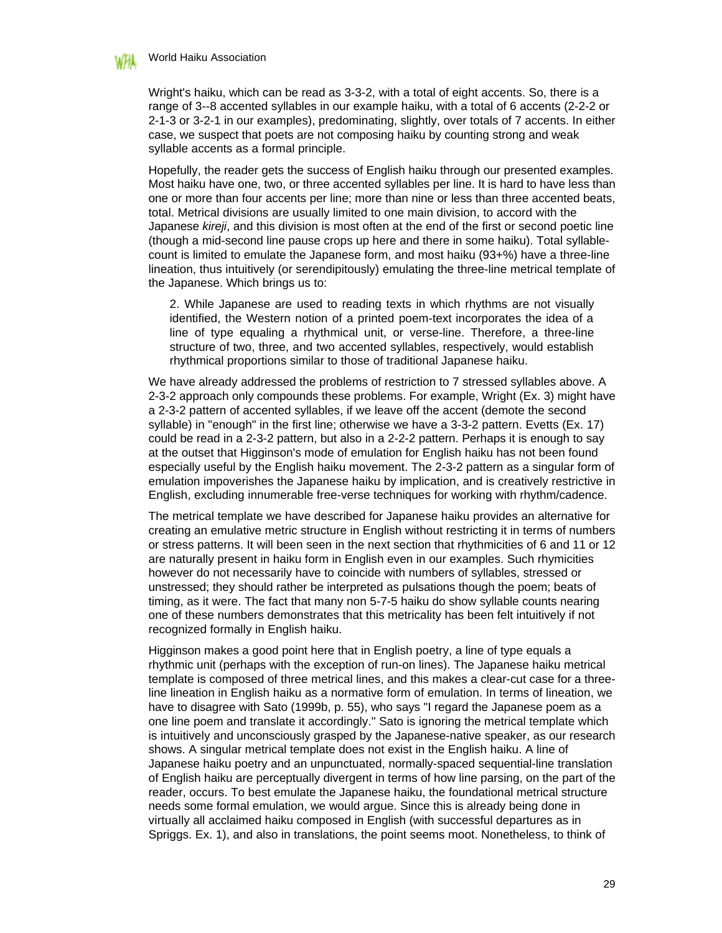#### World Haiku Association

Wright's haiku, which can be read as 3-3-2, with a total of eight accents. So, there is a range of 3--8 accented syllables in our example haiku, with a total of 6 accents (2-2-2 or 2-1-3 or 3-2-1 in our examples), predominating, slightly, over totals of 7 accents. In either case, we suspect that poets are not composing haiku by counting strong and weak syllable accents as a formal principle.

Hopefully, the reader gets the success of English haiku through our presented examples. Most haiku have one, two, or three accented syllables per line. It is hard to have less than one or more than four accents per line; more than nine or less than three accented beats, total. Metrical divisions are usually limited to one main division, to accord with the Japanese *kireji*, and this division is most often at the end of the first or second poetic line (though a mid-second line pause crops up here and there in some haiku). Total syllablecount is limited to emulate the Japanese form, and most haiku (93+%) have a three-line lineation, thus intuitively (or serendipitously) emulating the three-line metrical template of the Japanese. Which brings us to:

2. While Japanese are used to reading texts in which rhythms are not visually identified, the Western notion of a printed poem-text incorporates the idea of a line of type equaling a rhythmical unit, or verse-line. Therefore, a three-line structure of two, three, and two accented syllables, respectively, would establish rhythmical proportions similar to those of traditional Japanese haiku.

We have already addressed the problems of restriction to 7 stressed syllables above. A 2-3-2 approach only compounds these problems. For example, Wright (Ex. 3) might have a 2-3-2 pattern of accented syllables, if we leave off the accent (demote the second syllable) in "enough" in the first line; otherwise we have a 3-3-2 pattern. Evetts (Ex. 17) could be read in a 2-3-2 pattern, but also in a 2-2-2 pattern. Perhaps it is enough to say at the outset that Higginson's mode of emulation for English haiku has not been found especially useful by the English haiku movement. The 2-3-2 pattern as a singular form of emulation impoverishes the Japanese haiku by implication, and is creatively restrictive in English, excluding innumerable free-verse techniques for working with rhythm/cadence.

The metrical template we have described for Japanese haiku provides an alternative for creating an emulative metric structure in English without restricting it in terms of numbers or stress patterns. It will been seen in the next section that rhythmicities of 6 and 11 or 12 are naturally present in haiku form in English even in our examples. Such rhymicities however do not necessarily have to coincide with numbers of syllables, stressed or unstressed; they should rather be interpreted as pulsations though the poem; beats of timing, as it were. The fact that many non 5-7-5 haiku do show syllable counts nearing one of these numbers demonstrates that this metricality has been felt intuitively if not recognized formally in English haiku.

Higginson makes a good point here that in English poetry, a line of type equals a rhythmic unit (perhaps with the exception of run-on lines). The Japanese haiku metrical template is composed of three metrical lines, and this makes a clear-cut case for a threeline lineation in English haiku as a normative form of emulation. In terms of lineation, we have to disagree with Sato (1999b, p. 55), who says "I regard the Japanese poem as a one line poem and translate it accordingly." Sato is ignoring the metrical template which is intuitively and unconsciously grasped by the Japanese-native speaker, as our research shows. A singular metrical template does not exist in the English haiku. A line of Japanese haiku poetry and an unpunctuated, normally-spaced sequential-line translation of English haiku are perceptually divergent in terms of how line parsing, on the part of the reader, occurs. To best emulate the Japanese haiku, the foundational metrical structure needs some formal emulation, we would argue. Since this is already being done in virtually all acclaimed haiku composed in English (with successful departures as in Spriggs. Ex. 1), and also in translations, the point seems moot. Nonetheless, to think of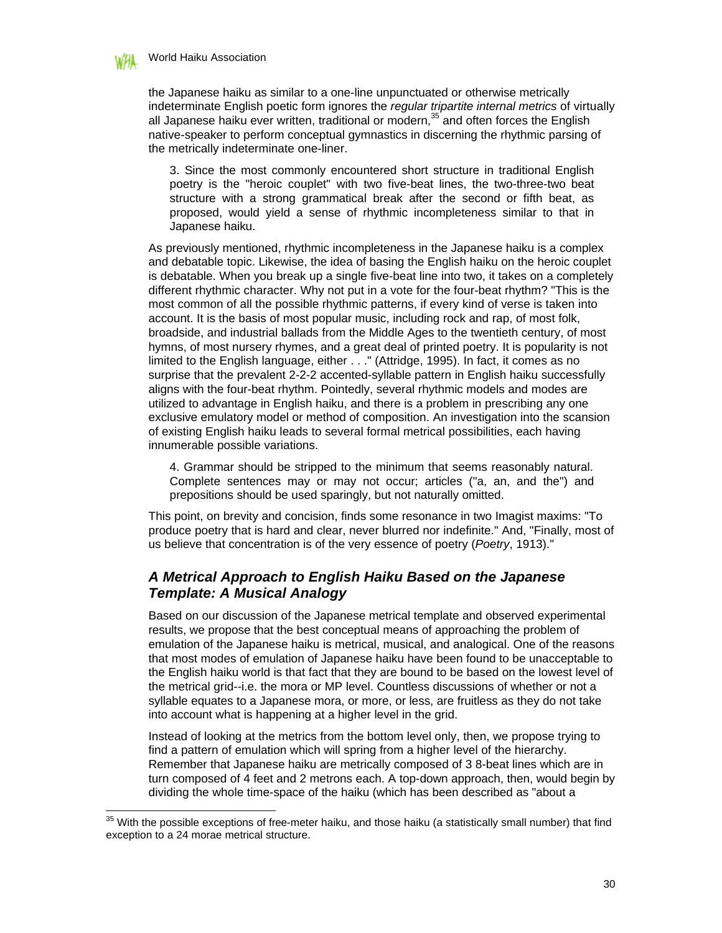

 $\overline{\phantom{a}}$ 

the Japanese haiku as similar to a one-line unpunctuated or otherwise metrically indeterminate English poetic form ignores the *regular tripartite internal metrics* of virtually all Japanese haiku ever written, traditional or modern, $35$  and often forces the English native-speaker to perform conceptual gymnastics in discerning the rhythmic parsing of the metrically indeterminate one-liner.

3. Since the most commonly encountered short structure in traditional English poetry is the "heroic couplet" with two five-beat lines, the two-three-two beat structure with a strong grammatical break after the second or fifth beat, as proposed, would yield a sense of rhythmic incompleteness similar to that in Japanese haiku.

As previously mentioned, rhythmic incompleteness in the Japanese haiku is a complex and debatable topic. Likewise, the idea of basing the English haiku on the heroic couplet is debatable. When you break up a single five-beat line into two, it takes on a completely different rhythmic character. Why not put in a vote for the four-beat rhythm? "This is the most common of all the possible rhythmic patterns, if every kind of verse is taken into account. It is the basis of most popular music, including rock and rap, of most folk, broadside, and industrial ballads from the Middle Ages to the twentieth century, of most hymns, of most nursery rhymes, and a great deal of printed poetry. It is popularity is not limited to the English language, either . . ." (Attridge, 1995). In fact, it comes as no surprise that the prevalent 2-2-2 accented-syllable pattern in English haiku successfully aligns with the four-beat rhythm. Pointedly, several rhythmic models and modes are utilized to advantage in English haiku, and there is a problem in prescribing any one exclusive emulatory model or method of composition. An investigation into the scansion of existing English haiku leads to several formal metrical possibilities, each having innumerable possible variations.

4. Grammar should be stripped to the minimum that seems reasonably natural. Complete sentences may or may not occur; articles ("a, an, and the") and prepositions should be used sparingly, but not naturally omitted.

This point, on brevity and concision, finds some resonance in two Imagist maxims: "To produce poetry that is hard and clear, never blurred nor indefinite." And, "Finally, most of us believe that concentration is of the very essence of poetry (*Poetry*, 1913)."

### *A Metrical Approach to English Haiku Based on the Japanese Template: A Musical Analogy*

Based on our discussion of the Japanese metrical template and observed experimental results, we propose that the best conceptual means of approaching the problem of emulation of the Japanese haiku is metrical, musical, and analogical. One of the reasons that most modes of emulation of Japanese haiku have been found to be unacceptable to the English haiku world is that fact that they are bound to be based on the lowest level of the metrical grid--i.e. the mora or MP level. Countless discussions of whether or not a syllable equates to a Japanese mora, or more, or less, are fruitless as they do not take into account what is happening at a higher level in the grid.

Instead of looking at the metrics from the bottom level only, then, we propose trying to find a pattern of emulation which will spring from a higher level of the hierarchy. Remember that Japanese haiku are metrically composed of 3 8-beat lines which are in turn composed of 4 feet and 2 metrons each. A top-down approach, then, would begin by dividing the whole time-space of the haiku (which has been described as "about a

 $35$  With the possible exceptions of free-meter haiku, and those haiku (a statistically small number) that find exception to a 24 morae metrical structure.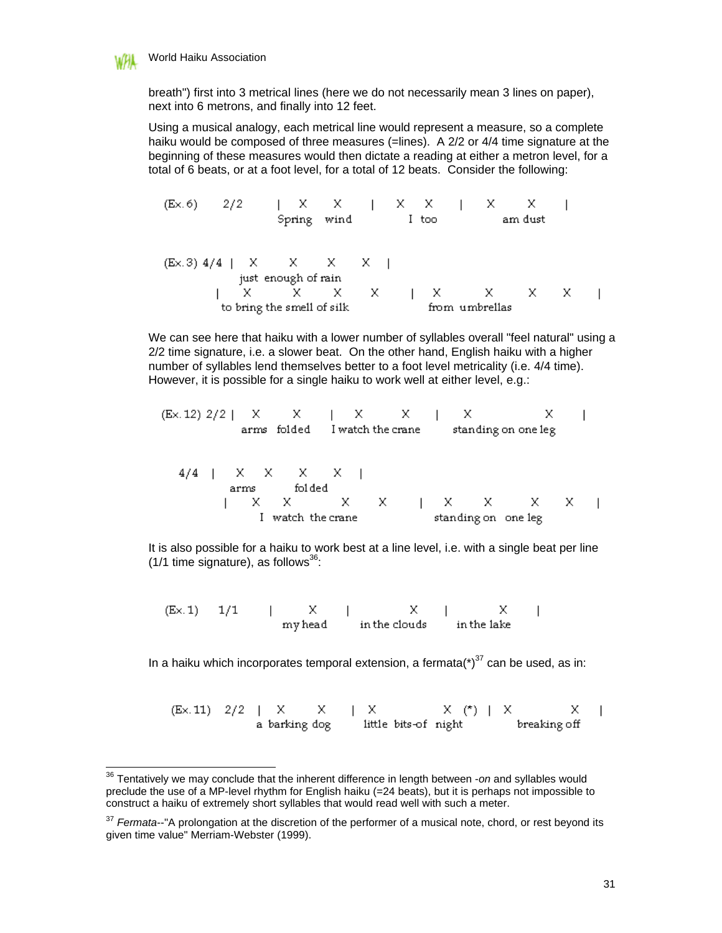

 $\overline{\phantom{a}}$ 

breath") first into 3 metrical lines (here we do not necessarily mean 3 lines on paper), next into 6 metrons, and finally into 12 feet.

Using a musical analogy, each metrical line would represent a measure, so a complete haiku would be composed of three measures (=lines). A 2/2 or 4/4 time signature at the beginning of these measures would then dictate a reading at either a metron level, for a total of 6 beats, or at a foot level, for a total of 12 beats. Consider the following:

| (Ex. 6)                    | $2/2$         | X X   X   X X   X X |
|----------------------------|---------------|---------------------|
| Spring wind                | I too         | am dust             |
| (Ex. 3)                    | $4/4$         | X X X   X           |
| just enough of rain        | X X X X   X   |                     |
| to bring the small of silk | from umbrella |                     |

We can see here that haiku with a lower number of syllables overall "feel natural" using a 2/2 time signature, i.e. a slower beat. On the other hand, English haiku with a higher number of syllables lend themselves better to a foot level metricality (i.e. 4/4 time). However, it is possible for a single haiku to work well at either level, e.g.:

| (Ex. 12) $2/2$ | X                 | X                   |   | X | X |   | X | X |  |
|----------------|-------------------|---------------------|---|---|---|---|---|---|--|
| arms folded    | I watch the crane | standing on one leg |   |   |   |   |   |   |  |
| 1              | X                 | X                   | X | X |   | X | X | X |  |
| 1              | watch the crane   | standing on one leg |   |   |   |   |   |   |  |

It is also possible for a haiku to work best at a line level, i.e. with a single beat per line  $(1/1$  time signature), as follows<sup>36</sup>:

 $1/1 \qquad | \qquad X \qquad | \qquad X \qquad | \qquad X$   $\qquad \qquad \text{my head} \qquad \qquad \text{in the clouds} \qquad \text{in the lake}$  $(E \times .1)$ 

In a haiku which incorporates temporal extension, a fermata( $*$ )<sup>37</sup> can be used, as in:

(Ex. 11)  $2/2$  | X  $X$  | X  $X$  (\*) | X<br>a barking dog ittle bits-of night breaking х  $\overline{1}$ breaking off

I

<sup>36</sup> Tentatively we may conclude that the inherent difference in length between -*on* and syllables would preclude the use of a MP-level rhythm for English haiku (=24 beats), but it is perhaps not impossible to construct a haiku of extremely short syllables that would read well with such a meter.

<sup>37</sup> *Fermata*--"A prolongation at the discretion of the performer of a musical note, chord, or rest beyond its given time value" Merriam-Webster (1999).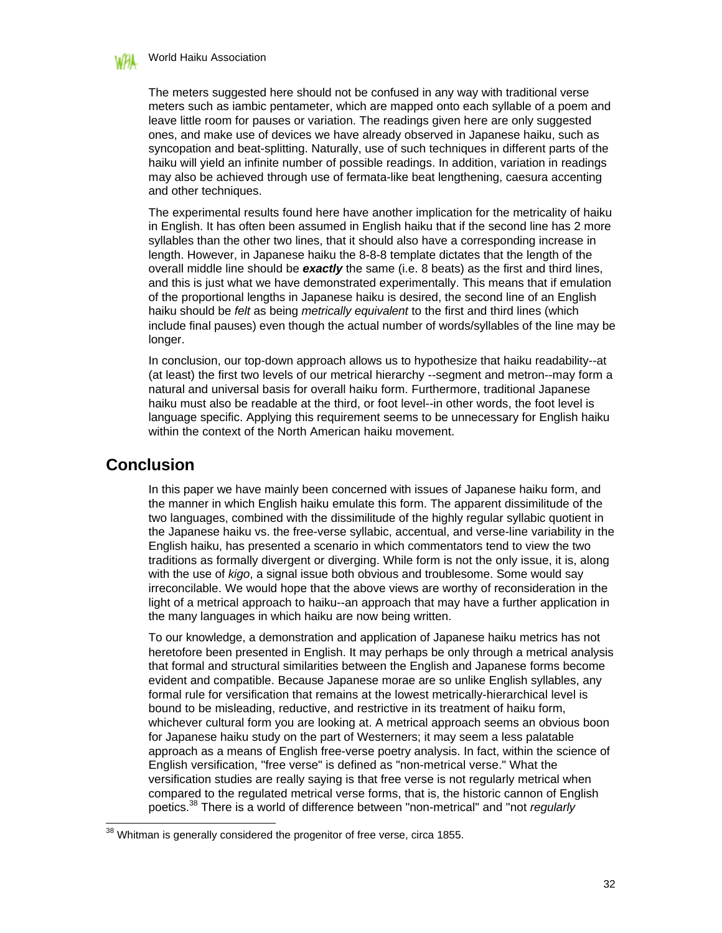

The meters suggested here should not be confused in any way with traditional verse meters such as iambic pentameter, which are mapped onto each syllable of a poem and leave little room for pauses or variation. The readings given here are only suggested ones, and make use of devices we have already observed in Japanese haiku, such as syncopation and beat-splitting. Naturally, use of such techniques in different parts of the haiku will yield an infinite number of possible readings. In addition, variation in readings may also be achieved through use of fermata-like beat lengthening, caesura accenting and other techniques.

The experimental results found here have another implication for the metricality of haiku in English. It has often been assumed in English haiku that if the second line has 2 more syllables than the other two lines, that it should also have a corresponding increase in length. However, in Japanese haiku the 8-8-8 template dictates that the length of the overall middle line should be *exactly* the same (i.e. 8 beats) as the first and third lines, and this is just what we have demonstrated experimentally. This means that if emulation of the proportional lengths in Japanese haiku is desired, the second line of an English haiku should be *felt* as being *metrically equivalent* to the first and third lines (which include final pauses) even though the actual number of words/syllables of the line may be longer.

In conclusion, our top-down approach allows us to hypothesize that haiku readability--at (at least) the first two levels of our metrical hierarchy --segment and metron--may form a natural and universal basis for overall haiku form. Furthermore, traditional Japanese haiku must also be readable at the third, or foot level--in other words, the foot level is language specific. Applying this requirement seems to be unnecessary for English haiku within the context of the North American haiku movement.

### **Conclusion**

 $\overline{\phantom{a}}$ 

In this paper we have mainly been concerned with issues of Japanese haiku form, and the manner in which English haiku emulate this form. The apparent dissimilitude of the two languages, combined with the dissimilitude of the highly regular syllabic quotient in the Japanese haiku vs. the free-verse syllabic, accentual, and verse-line variability in the English haiku, has presented a scenario in which commentators tend to view the two traditions as formally divergent or diverging. While form is not the only issue, it is, along with the use of *kigo*, a signal issue both obvious and troublesome. Some would say irreconcilable. We would hope that the above views are worthy of reconsideration in the light of a metrical approach to haiku--an approach that may have a further application in the many languages in which haiku are now being written.

To our knowledge, a demonstration and application of Japanese haiku metrics has not heretofore been presented in English. It may perhaps be only through a metrical analysis that formal and structural similarities between the English and Japanese forms become evident and compatible. Because Japanese morae are so unlike English syllables, any formal rule for versification that remains at the lowest metrically-hierarchical level is bound to be misleading, reductive, and restrictive in its treatment of haiku form, whichever cultural form you are looking at. A metrical approach seems an obvious boon for Japanese haiku study on the part of Westerners; it may seem a less palatable approach as a means of English free-verse poetry analysis. In fact, within the science of English versification, "free verse" is defined as "non-metrical verse." What the versification studies are really saying is that free verse is not regularly metrical when compared to the regulated metrical verse forms, that is, the historic cannon of English poetics.<sup>38</sup> There is a world of difference between "non-metrical" and "not *regularly*

 $38$  Whitman is generally considered the progenitor of free verse, circa 1855.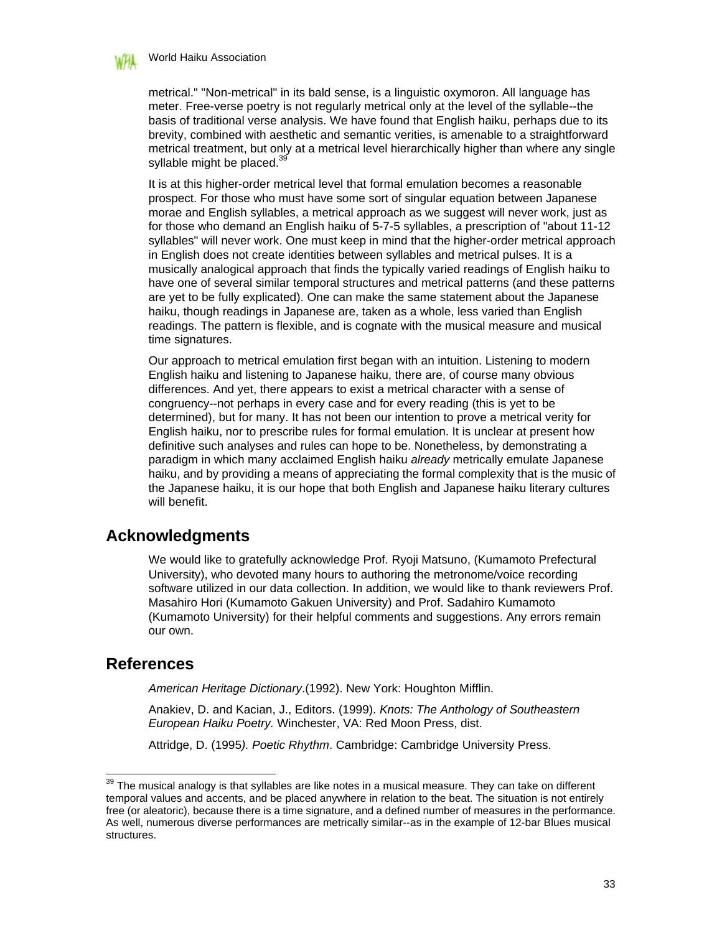#### World Haiku Association

metrical." "Non-metrical" in its bald sense, is a linguistic oxymoron. All language has meter. Free-verse poetry is not regularly metrical only at the level of the syllable--the basis of traditional verse analysis. We have found that English haiku, perhaps due to its brevity, combined with aesthetic and semantic verities, is amenable to a straightforward metrical treatment, but only at a metrical level hierarchically higher than where any single syllable might be placed. $39$ 

It is at this higher-order metrical level that formal emulation becomes a reasonable prospect. For those who must have some sort of singular equation between Japanese morae and English syllables, a metrical approach as we suggest will never work, just as for those who demand an English haiku of 5-7-5 syllables, a prescription of "about 11-12 syllables" will never work. One must keep in mind that the higher-order metrical approach in English does not create identities between syllables and metrical pulses. It is a musically analogical approach that finds the typically varied readings of English haiku to have one of several similar temporal structures and metrical patterns (and these patterns are yet to be fully explicated). One can make the same statement about the Japanese haiku, though readings in Japanese are, taken as a whole, less varied than English readings. The pattern is flexible, and is cognate with the musical measure and musical time signatures.

Our approach to metrical emulation first began with an intuition. Listening to modern English haiku and listening to Japanese haiku, there are, of course many obvious differences. And yet, there appears to exist a metrical character with a sense of congruency--not perhaps in every case and for every reading (this is yet to be determined), but for many. It has not been our intention to prove a metrical verity for English haiku, nor to prescribe rules for formal emulation. It is unclear at present how definitive such analyses and rules can hope to be. Nonetheless, by demonstrating a paradigm in which many acclaimed English haiku *already* metrically emulate Japanese haiku, and by providing a means of appreciating the formal complexity that is the music of the Japanese haiku, it is our hope that both English and Japanese haiku literary cultures will benefit.

# **Acknowledgments**

We would like to gratefully acknowledge Prof. Ryoji Matsuno, (Kumamoto Prefectural University), who devoted many hours to authoring the metronome/voice recording software utilized in our data collection. In addition, we would like to thank reviewers Prof. Masahiro Hori (Kumamoto Gakuen University) and Prof. Sadahiro Kumamoto (Kumamoto University) for their helpful comments and suggestions. Any errors remain our own.

### **References**

 $\overline{\phantom{a}}$ 

*American Heritage Dictionary*.(1992). New York: Houghton Mifflin.

Anakiev, D. and Kacian, J., Editors. (1999). *Knots: The Anthology of Southeastern European Haiku Poetry.* Winchester, VA: Red Moon Press, dist.

Attridge, D. (1995*). Poetic Rhythm*. Cambridge: Cambridge University Press.

 $39$  The musical analogy is that syllables are like notes in a musical measure. They can take on different temporal values and accents, and be placed anywhere in relation to the beat. The situation is not entirely free (or aleatoric), because there is a time signature, and a defined number of measures in the performance. As well, numerous diverse performances are metrically similar--as in the example of 12-bar Blues musical structures.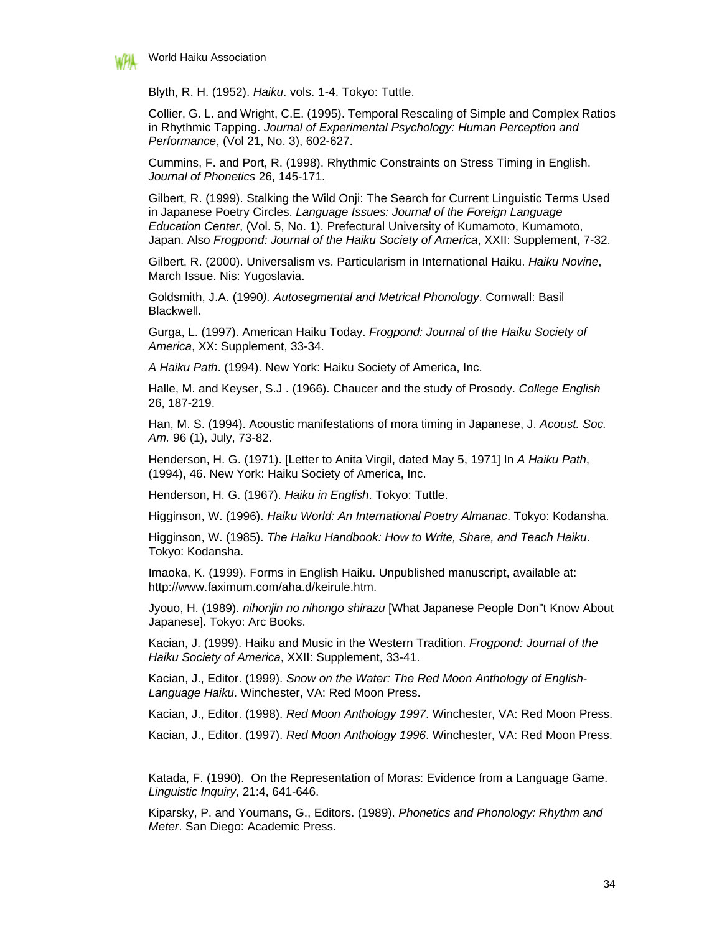

Blyth, R. H. (1952). *Haiku*. vols. 1-4. Tokyo: Tuttle.

Collier, G. L. and Wright, C.E. (1995). Temporal Rescaling of Simple and Complex Ratios in Rhythmic Tapping. *Journal of Experimental Psychology: Human Perception and Performance*, (Vol 21, No. 3), 602-627.

Cummins, F. and Port, R. (1998). Rhythmic Constraints on Stress Timing in English. *Journal of Phonetics* 26, 145-171.

Gilbert, R. (1999). Stalking the Wild Onji: The Search for Current Linguistic Terms Used in Japanese Poetry Circles. *Language Issues: Journal of the Foreign Language Education Center*, (Vol. 5, No. 1). Prefectural University of Kumamoto, Kumamoto, Japan. Also *Frogpond: Journal of the Haiku Society of America*, XXII: Supplement, 7-32.

Gilbert, R. (2000). Universalism vs. Particularism in International Haiku. *Haiku Novine*, March Issue. Nis: Yugoslavia.

Goldsmith, J.A. (1990*). Autosegmental and Metrical Phonology*. Cornwall: Basil Blackwell.

Gurga, L. (1997). American Haiku Today. *Frogpond: Journal of the Haiku Society of America*, XX: Supplement, 33-34.

*A Haiku Path*. (1994). New York: Haiku Society of America, Inc.

Halle, M. and Keyser, S.J . (1966). Chaucer and the study of Prosody. *College English* 26, 187-219.

Han, M. S. (1994). Acoustic manifestations of mora timing in Japanese, J. *Acoust. Soc. Am.* 96 (1), July, 73-82.

Henderson, H. G. (1971). [Letter to Anita Virgil, dated May 5, 1971] In *A Haiku Path*, (1994), 46. New York: Haiku Society of America, Inc.

Henderson, H. G. (1967). *Haiku in English*. Tokyo: Tuttle.

Higginson, W. (1996). *Haiku World: An International Poetry Almanac*. Tokyo: Kodansha.

Higginson, W. (1985). *The Haiku Handbook: How to Write, Share, and Teach Haiku*. Tokyo: Kodansha.

Imaoka, K. (1999). Forms in English Haiku. Unpublished manuscript, available at: http://www.faximum.com/aha.d/keirule.htm.

Jyouo, H. (1989). *nihonjin no nihongo shirazu* [What Japanese People Don"t Know About Japanese]. Tokyo: Arc Books.

Kacian, J. (1999). Haiku and Music in the Western Tradition. *Frogpond: Journal of the Haiku Society of America*, XXII: Supplement, 33-41.

Kacian, J., Editor. (1999). *Snow on the Water: The Red Moon Anthology of English-Language Haiku*. Winchester, VA: Red Moon Press.

Kacian, J., Editor. (1998). *Red Moon Anthology 1997*. Winchester, VA: Red Moon Press.

Kacian, J., Editor. (1997). *Red Moon Anthology 1996*. Winchester, VA: Red Moon Press.

Katada, F. (1990). On the Representation of Moras: Evidence from a Language Game. *Linguistic Inquiry*, 21:4, 641-646.

Kiparsky, P. and Youmans, G., Editors. (1989). *Phonetics and Phonology: Rhythm and Meter*. San Diego: Academic Press.